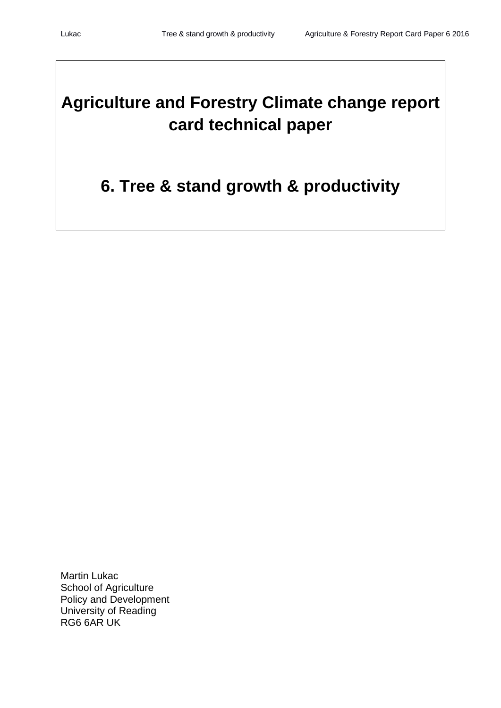# **Agriculture and Forestry Climate change report card technical paper**

## **6. Tree & stand growth & productivity**

Martin Lukac School of Agriculture Policy and Development University of Reading RG6 6AR UK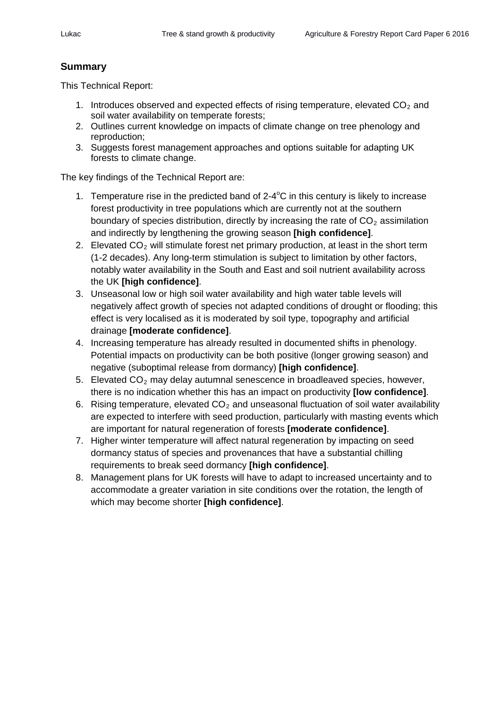## **Summary**

This Technical Report:

- 1. Introduces observed and expected effects of rising temperature, elevated  $CO<sub>2</sub>$  and soil water availability on temperate forests;
- 2. Outlines current knowledge on impacts of climate change on tree phenology and reproduction;
- 3. Suggests forest management approaches and options suitable for adapting UK forests to climate change.

The key findings of the Technical Report are:

- 1. Temperature rise in the predicted band of  $2-4^{\circ}C$  in this century is likely to increase forest productivity in tree populations which are currently not at the southern boundary of species distribution, directly by increasing the rate of  $CO<sub>2</sub>$  assimilation and indirectly by lengthening the growing season **[high confidence]**.
- 2. Elevated  $CO<sub>2</sub>$  will stimulate forest net primary production, at least in the short term (1-2 decades). Any long-term stimulation is subject to limitation by other factors, notably water availability in the South and East and soil nutrient availability across the UK **[high confidence]**.
- 3. Unseasonal low or high soil water availability and high water table levels will negatively affect growth of species not adapted conditions of drought or flooding; this effect is very localised as it is moderated by soil type, topography and artificial drainage **[moderate confidence]**.
- 4. Increasing temperature has already resulted in documented shifts in phenology. Potential impacts on productivity can be both positive (longer growing season) and negative (suboptimal release from dormancy) **[high confidence]**.
- 5. Elevated  $CO<sub>2</sub>$  may delay autumnal senescence in broadleaved species, however, there is no indication whether this has an impact on productivity **[low confidence]**.
- 6. Rising temperature, elevated  $CO<sub>2</sub>$  and unseasonal fluctuation of soil water availability are expected to interfere with seed production, particularly with masting events which are important for natural regeneration of forests **[moderate confidence]**.
- 7. Higher winter temperature will affect natural regeneration by impacting on seed dormancy status of species and provenances that have a substantial chilling requirements to break seed dormancy **[high confidence]**.
- 8. Management plans for UK forests will have to adapt to increased uncertainty and to accommodate a greater variation in site conditions over the rotation, the length of which may become shorter **[high confidence]**.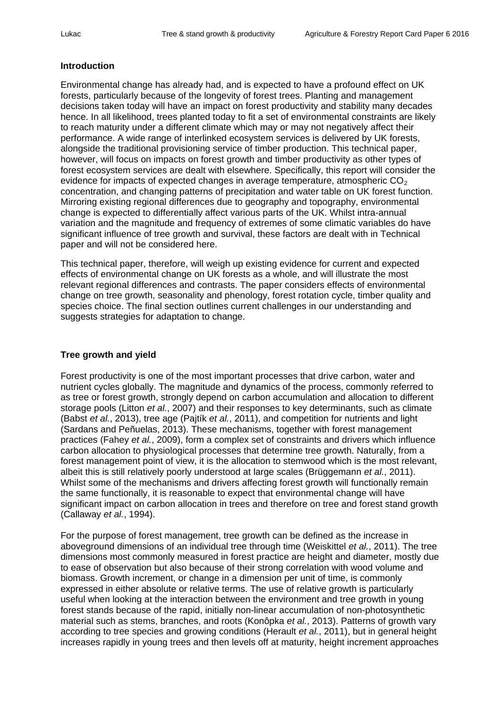#### **Introduction**

Environmental change has already had, and is expected to have a profound effect on UK forests, particularly because of the longevity of forest trees. Planting and management decisions taken today will have an impact on forest productivity and stability many decades hence. In all likelihood, trees planted today to fit a set of environmental constraints are likely to reach maturity under a different climate which may or may not negatively affect their performance. A wide range of interlinked ecosystem services is delivered by UK forests, alongside the traditional provisioning service of timber production. This technical paper, however, will focus on impacts on forest growth and timber productivity as other types of forest ecosystem services are dealt with elsewhere. Specifically, this report will consider the evidence for impacts of expected changes in average temperature, atmospheric  $CO<sub>2</sub>$ concentration, and changing patterns of precipitation and water table on UK forest function. Mirroring existing regional differences due to geography and topography, environmental change is expected to differentially affect various parts of the UK. Whilst intra-annual variation and the magnitude and frequency of extremes of some climatic variables do have significant influence of tree growth and survival, these factors are dealt with in Technical paper and will not be considered here.

This technical paper, therefore, will weigh up existing evidence for current and expected effects of environmental change on UK forests as a whole, and will illustrate the most relevant regional differences and contrasts. The paper considers effects of environmental change on tree growth, seasonality and phenology, forest rotation cycle, timber quality and species choice. The final section outlines current challenges in our understanding and suggests strategies for adaptation to change.

#### **Tree growth and yield**

Forest productivity is one of the most important processes that drive carbon, water and nutrient cycles globally. The magnitude and dynamics of the process, commonly referred to as tree or forest growth, strongly depend on carbon accumulation and allocation to different storage pools (Litton *et al.*, 2007) and their responses to key determinants, such as climate (Babst *et al.*, 2013), tree age (Pajtík *et al.*, 2011), and competition for nutrients and light (Sardans and Peñuelas, 2013). These mechanisms, together with forest management practices (Fahey *et al.*, 2009), form a complex set of constraints and drivers which influence carbon allocation to physiological processes that determine tree growth. Naturally, from a forest management point of view, it is the allocation to stemwood which is the most relevant, albeit this is still relatively poorly understood at large scales (Brüggemann *et al.*, 2011). Whilst some of the mechanisms and drivers affecting forest growth will functionally remain the same functionally, it is reasonable to expect that environmental change will have significant impact on carbon allocation in trees and therefore on tree and forest stand growth (Callaway *et al.*, 1994).

For the purpose of forest management, tree growth can be defined as the increase in aboveground dimensions of an individual tree through time (Weiskittel *et al.*, 2011). The tree dimensions most commonly measured in forest practice are height and diameter, mostly due to ease of observation but also because of their strong correlation with wood volume and biomass. Growth increment, or change in a dimension per unit of time, is commonly expressed in either absolute or relative terms. The use of relative growth is particularly useful when looking at the interaction between the environment and tree growth in young forest stands because of the rapid, initially non-linear accumulation of non-photosynthetic material such as stems, branches, and roots (Konôpka *et al.*, 2013). Patterns of growth vary according to tree species and growing conditions (Herault *et al.*, 2011), but in general height increases rapidly in young trees and then levels off at maturity, height increment approaches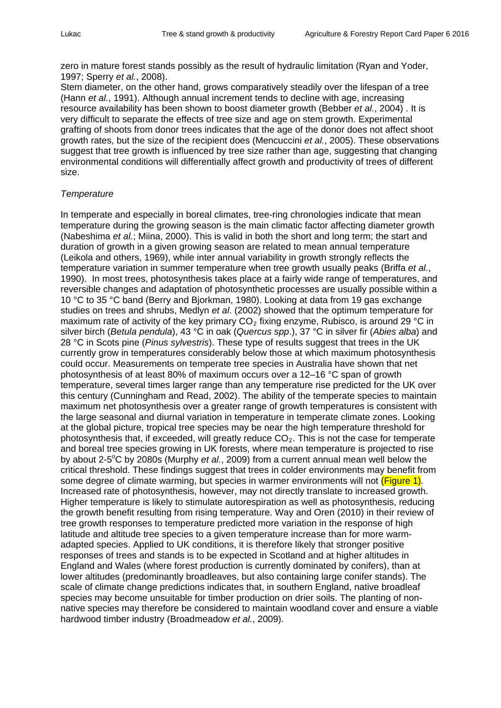zero in mature forest stands possibly as the result of hydraulic limitation (Ryan and Yoder, 1997; Sperry *et al.*, 2008).

Stem diameter, on the other hand, grows comparatively steadily over the lifespan of a tree (Hann *et al.*, 1991). Although annual increment tends to decline with age, increasing resource availability has been shown to boost diameter growth (Bebber *et al.*, 2004) . It is very difficult to separate the effects of tree size and age on stem growth. Experimental grafting of shoots from donor trees indicates that the age of the donor does not affect shoot growth rates, but the size of the recipient does (Mencuccini *et al.*, 2005). These observations suggest that tree growth is influenced by tree size rather than age, suggesting that changing environmental conditions will differentially affect growth and productivity of trees of different size.

#### *Temperature*

In temperate and especially in boreal climates, tree-ring chronologies indicate that mean temperature during the growing season is the main climatic factor affecting diameter growth (Nabeshima *et al.*; Miina, 2000). This is valid in both the short and long term; the start and duration of growth in a given growing season are related to mean annual temperature (Leikola and others, 1969), while inter annual variability in growth strongly reflects the temperature variation in summer temperature when tree growth usually peaks (Briffa *et al.*, 1990). In most trees, photosynthesis takes place at a fairly wide range of temperatures, and reversible changes and adaptation of photosynthetic processes are usually possible within a 10 °C to 35 °C band (Berry and Bjorkman, 1980). Looking at data from 19 gas exchange studies on trees and shrubs, Medlyn *et al*. (2002) showed that the optimum temperature for maximum rate of activity of the key primary  $CO<sub>2</sub>$  fixing enzyme, Rubisco, is around 29 °C in silver birch (*Betula pendula*), 43 °C in oak (*Quercus spp*.), 37 °C in silver fir (*Abies alba*) and 28 °C in Scots pine (*Pinus sylvestris*). These type of results suggest that trees in the UK currently grow in temperatures considerably below those at which maximum photosynthesis could occur. Measurements on temperate tree species in Australia have shown that net photosynthesis of at least 80% of maximum occurs over a 12–16 °C span of growth temperature, several times larger range than any temperature rise predicted for the UK over this century (Cunningham and Read, 2002). The ability of the temperate species to maintain maximum net photosynthesis over a greater range of growth temperatures is consistent with the large seasonal and diurnal variation in temperature in temperate climate zones. Looking at the global picture, tropical tree species may be near the high temperature threshold for photosynthesis that, if exceeded, will greatly reduce  $CO<sub>2</sub>$ . This is not the case for temperate and boreal tree species growing in UK forests, where mean temperature is projected to rise by about 2-5<sup>°</sup>C by 2080s (Murphy *et al.*, 2009) from a current annual mean well below the critical threshold. These findings suggest that trees in colder environments may benefit from some degree of climate warming, but species in warmer environments will not (Figure 1). Increased rate of photosynthesis, however, may not directly translate to increased growth. Higher temperature is likely to stimulate autorespiration as well as photosynthesis, reducing the growth benefit resulting from rising temperature. Way and Oren (2010) in their review of tree growth responses to temperature predicted more variation in the response of high latitude and altitude tree species to a given temperature increase than for more warmadapted species. Applied to UK conditions, it is therefore likely that stronger positive responses of trees and stands is to be expected in Scotland and at higher altitudes in England and Wales (where forest production is currently dominated by conifers), than at lower altitudes (predominantly broadleaves, but also containing large conifer stands). The scale of climate change predictions indicates that, in southern England, native broadleaf species may become unsuitable for timber production on drier soils. The planting of nonnative species may therefore be considered to maintain woodland cover and ensure a viable hardwood timber industry (Broadmeadow *et al.*, 2009).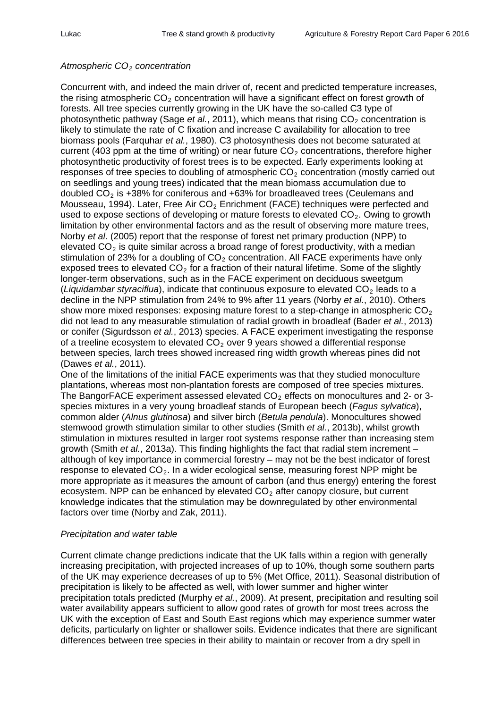#### *Atmospheric CO2 concentration*

Concurrent with, and indeed the main driver of, recent and predicted temperature increases, the rising atmospheric  $CO<sub>2</sub>$  concentration will have a significant effect on forest growth of forests. All tree species currently growing in the UK have the so-called C3 type of photosynthetic pathway (Sage *et al.*, 2011), which means that rising CO<sub>2</sub> concentration is likely to stimulate the rate of C fixation and increase C availability for allocation to tree biomass pools (Farquhar *et al.*, 1980). C3 photosynthesis does not become saturated at current (403 ppm at the time of writing) or near future  $CO<sub>2</sub>$  concentrations, therefore higher photosynthetic productivity of forest trees is to be expected. Early experiments looking at responses of tree species to doubling of atmospheric  $CO<sub>2</sub>$  concentration (mostly carried out on seedlings and young trees) indicated that the mean biomass accumulation due to doubled  $CO<sub>2</sub>$  is +38% for coniferous and +63% for broadleaved trees (Ceulemans and Mousseau, 1994). Later, Free Air  $CO<sub>2</sub>$  Enrichment (FACE) techniques were perfected and used to expose sections of developing or mature forests to elevated  $CO<sub>2</sub>$ . Owing to growth limitation by other environmental factors and as the result of observing more mature trees, Norby *et al*. (2005) report that the response of forest net primary production (NPP) to elevated  $CO<sub>2</sub>$  is quite similar across a broad range of forest productivity, with a median stimulation of 23% for a doubling of  $CO<sub>2</sub>$  concentration. All FACE experiments have only exposed trees to elevated  $CO<sub>2</sub>$  for a fraction of their natural lifetime. Some of the slightly longer-term observations, such as in the FACE experiment on deciduous sweetgum (*Liquidambar styraciflua*), indicate that continuous exposure to elevated  $CO<sub>2</sub>$  leads to a decline in the NPP stimulation from 24% to 9% after 11 years (Norby *et al.*, 2010). Others show more mixed responses: exposing mature forest to a step-change in atmospheric  $CO<sub>2</sub>$ did not lead to any measurable stimulation of radial growth in broadleaf (Bader *et al.*, 2013) or conifer (Sigurdsson *et al.*, 2013) species. A FACE experiment investigating the response of a treeline ecosystem to elevated  $CO<sub>2</sub>$  over 9 years showed a differential response between species, larch trees showed increased ring width growth whereas pines did not (Dawes *et al.*, 2011).

One of the limitations of the initial FACE experiments was that they studied monoculture plantations, whereas most non-plantation forests are composed of tree species mixtures. The BangorFACE experiment assessed elevated  $CO<sub>2</sub>$  effects on monocultures and 2- or 3species mixtures in a very young broadleaf stands of European beech (*Fagus sylvatica*), common alder (*Alnus glutinosa*) and silver birch (*Betula pendula*). Monocultures showed stemwood growth stimulation similar to other studies (Smith *et al.*, 2013b), whilst growth stimulation in mixtures resulted in larger root systems response rather than increasing stem growth (Smith *et al.*, 2013a). This finding highlights the fact that radial stem increment – although of key importance in commercial forestry – may not be the best indicator of forest response to elevated  $CO<sub>2</sub>$ . In a wider ecological sense, measuring forest NPP might be more appropriate as it measures the amount of carbon (and thus energy) entering the forest ecosystem. NPP can be enhanced by elevated  $CO<sub>2</sub>$  after canopy closure, but current knowledge indicates that the stimulation may be downregulated by other environmental factors over time (Norby and Zak, 2011).

#### *Precipitation and water table*

Current climate change predictions indicate that the UK falls within a region with generally increasing precipitation, with projected increases of up to 10%, though some southern parts of the UK may experience decreases of up to 5% (Met Office, 2011). Seasonal distribution of precipitation is likely to be affected as well, with lower summer and higher winter precipitation totals predicted (Murphy *et al.*, 2009). At present, precipitation and resulting soil water availability appears sufficient to allow good rates of growth for most trees across the UK with the exception of East and South East regions which may experience summer water deficits, particularly on lighter or shallower soils. Evidence indicates that there are significant differences between tree species in their ability to maintain or recover from a dry spell in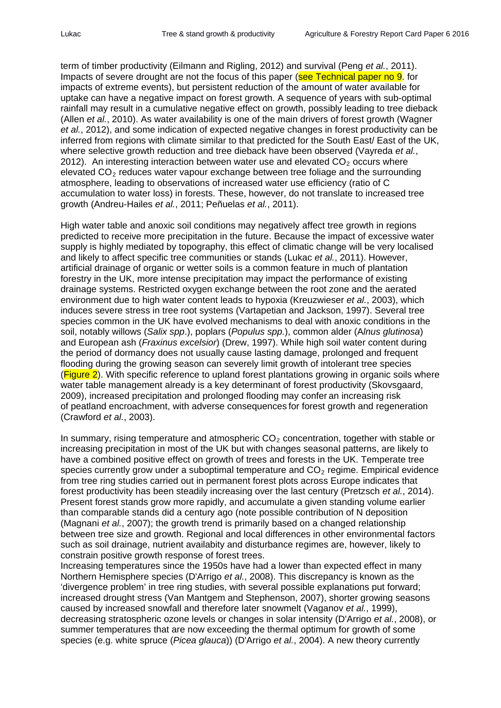term of timber productivity (Eilmann and Rigling, 2012) and survival (Peng *et al.*, 2011). Impacts of severe drought are not the focus of this paper (see Technical paper no 9. for impacts of extreme events), but persistent reduction of the amount of water available for uptake can have a negative impact on forest growth. A sequence of years with sub-optimal rainfall may result in a cumulative negative effect on growth, possibly leading to tree dieback (Allen *et al.*, 2010). As water availability is one of the main drivers of forest growth (Wagner *et al.*, 2012), and some indication of expected negative changes in forest productivity can be inferred from regions with climate similar to that predicted for the South East/ East of the UK, where selective growth reduction and tree dieback have been observed (Vayreda *et al.*, 2012). An interesting interaction between water use and elevated  $CO<sub>2</sub>$  occurs where elevated  $CO<sub>2</sub>$  reduces water vapour exchange between tree foliage and the surrounding atmosphere, leading to observations of increased water use efficiency (ratio of C accumulation to water loss) in forests. These, however, do not translate to increased tree growth (Andreu-Hailes *et al.*, 2011; Peñuelas *et al.*, 2011).

High water table and anoxic soil conditions may negatively affect tree growth in regions predicted to receive more precipitation in the future. Because the impact of excessive water supply is highly mediated by topography, this effect of climatic change will be very localised and likely to affect specific tree communities or stands (Lukac *et al.*, 2011). However, artificial drainage of organic or wetter soils is a common feature in much of plantation forestry in the UK, more intense precipitation may impact the performance of existing drainage systems. Restricted oxygen exchange between the root zone and the aerated environment due to high water content leads to hypoxia (Kreuzwieser *et al.*, 2003), which induces severe stress in tree root systems (Vartapetian and Jackson, 1997). Several tree species common in the UK have evolved mechanisms to deal with anoxic conditions in the soil, notably willows (*Salix spp*.), poplars (*Populus spp.*), common alder (A*lnus glutinosa*) and European ash (*Fraxinus excelsior*) (Drew, 1997). While high soil water content during the period of dormancy does not usually cause lasting damage, prolonged and frequent flooding during the growing season can severely limit growth of intolerant tree species  $(Fiqure 2)$ . With specific reference to upland forest plantations growing in organic soils where water table management already is a key determinant of forest productivity (Skovsgaard, 2009), increased precipitation and prolonged flooding may confer an increasing risk of peatland encroachment, with adverse consequences for forest growth and regeneration (Crawford *et al.*, 2003).

In summary, rising temperature and atmospheric  $CO<sub>2</sub>$  concentration, together with stable or increasing precipitation in most of the UK but with changes seasonal patterns, are likely to have a combined positive effect on growth of trees and forests in the UK. Temperate tree species currently grow under a suboptimal temperature and  $CO<sub>2</sub>$  regime. Empirical evidence from tree ring studies carried out in permanent forest plots across Europe indicates that forest productivity has been steadily increasing over the last century (Pretzsch *et al.*, 2014). Present forest stands grow more rapidly, and accumulate a given standing volume earlier than comparable stands did a century ago (note possible contribution of N deposition (Magnani *et al.*, 2007); the growth trend is primarily based on a changed relationship between tree size and growth. Regional and local differences in other environmental factors such as soil drainage, nutrient availabity and disturbance regimes are, however, likely to constrain positive growth response of forest trees.

Increasing temperatures since the 1950s have had a lower than expected effect in many Northern Hemisphere species (D'Arrigo *et al.*, 2008). This discrepancy is known as the 'divergence problem' in tree ring studies, with several possible explanations put forward; increased drought stress (Van Mantgem and Stephenson, 2007), shorter growing seasons caused by increased snowfall and therefore later snowmelt (Vaganov *et al.*, 1999), decreasing stratospheric ozone levels or changes in solar intensity (D'Arrigo *et al.*, 2008), or summer temperatures that are now exceeding the thermal optimum for growth of some species (e.g. white spruce (*Picea glauca*)) (D'Arrigo *et al.*, 2004). A new theory currently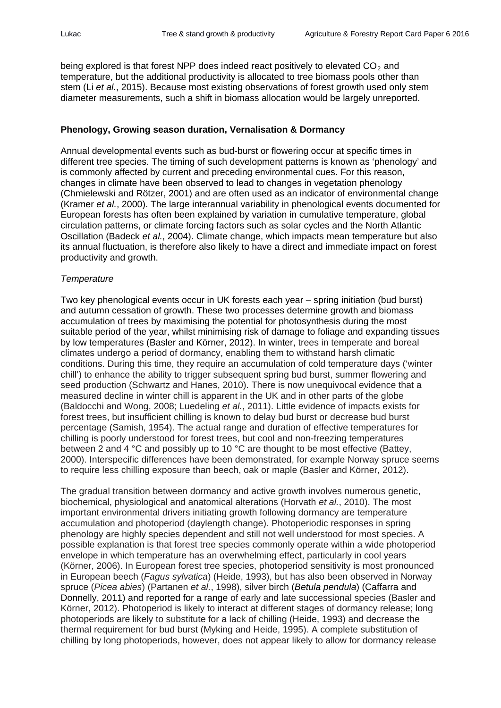being explored is that forest NPP does indeed react positively to elevated  $CO<sub>2</sub>$  and temperature, but the additional productivity is allocated to tree biomass pools other than stem (Li *et al.*, 2015). Because most existing observations of forest growth used only stem diameter measurements, such a shift in biomass allocation would be largely unreported.

#### **Phenology, Growing season duration, Vernalisation & Dormancy**

Annual developmental events such as bud-burst or flowering occur at specific times in different tree species. The timing of such development patterns is known as 'phenology' and is commonly affected by current and preceding environmental cues. For this reason, changes in climate have been observed to lead to changes in vegetation phenology (Chmielewski and Rötzer, 2001) and are often used as an indicator of environmental change (Kramer *et al.*, 2000). The large interannual variability in phenological events documented for European forests has often been explained by variation in cumulative temperature, global circulation patterns, or climate forcing factors such as solar cycles and the North Atlantic Oscillation (Badeck *et al.*, 2004). Climate change, which impacts mean temperature but also its annual fluctuation, is therefore also likely to have a direct and immediate impact on forest productivity and growth.

#### *Temperature*

Two key phenological events occur in UK forests each year – spring initiation (bud burst) and autumn cessation of growth. These two processes determine growth and biomass accumulation of trees by maximising the potential for photosynthesis during the most suitable period of the year, whilst minimising risk of damage to foliage and expanding tissues by low temperatures (Basler and Körner, 2012). In winter, trees in temperate and boreal climates undergo a period of dormancy, enabling them to withstand harsh climatic conditions. During this time, they require an accumulation of cold temperature days ('winter chill') to enhance the ability to trigger subsequent spring bud burst, summer flowering and seed production (Schwartz and Hanes, 2010). There is now unequivocal evidence that a measured decline in winter chill is apparent in the UK and in other parts of the globe (Baldocchi and Wong, 2008; Luedeling *et al.*, 2011). Little evidence of impacts exists for forest trees, but insufficient chilling is known to delay bud burst or decrease bud burst percentage (Samish, 1954). The actual range and duration of effective temperatures for chilling is poorly understood for forest trees, but cool and non-freezing temperatures between 2 and 4 °C and possibly up to 10 °C are thought to be most effective (Battey, 2000). Interspecific differences have been demonstrated, for example Norway spruce seems to require less chilling exposure than beech, oak or maple (Basler and Körner, 2012).

The gradual transition between dormancy and active growth involves numerous genetic, biochemical, physiological and anatomical alterations (Horvath *et al.*, 2010). The most important environmental drivers initiating growth following dormancy are temperature accumulation and photoperiod (daylength change). Photoperiodic responses in spring phenology are highly species dependent and still not well understood for most species. A possible explanation is that forest tree species commonly operate within a wide photoperiod envelope in which temperature has an overwhelming effect, particularly in cool years (Körner, 2006). In European forest tree species, photoperiod sensitivity is most pronounced in European beech (*Fagus sylvatica*) (Heide, 1993), but has also been observed in Norway spruce (*Picea abies*) (Partanen *et al.*, 1998), silver birch (*Betula pendula*) (Caffarra and Donnelly, 2011) and reported for a range of early and late successional species (Basler and Körner, 2012). Photoperiod is likely to interact at different stages of dormancy release; long photoperiods are likely to substitute for a lack of chilling (Heide, 1993) and decrease the thermal requirement for bud burst (Myking and Heide, 1995). A complete substitution of chilling by long photoperiods, however, does not appear likely to allow for dormancy release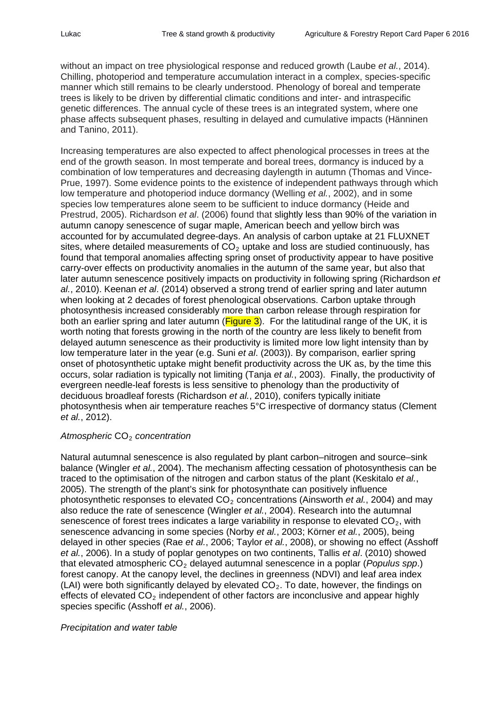without an impact on tree physiological response and reduced growth (Laube *et al.*, 2014). Chilling, photoperiod and temperature accumulation interact in a complex, species-specific manner which still remains to be clearly understood. Phenology of boreal and temperate trees is likely to be driven by differential climatic conditions and inter- and intraspecific genetic differences. The annual cycle of these trees is an integrated system, where one phase affects subsequent phases, resulting in delayed and cumulative impacts (Hänninen and Tanino, 2011).

Increasing temperatures are also expected to affect phenological processes in trees at the end of the growth season. In most temperate and boreal trees, dormancy is induced by a combination of low temperatures and decreasing daylength in autumn (Thomas and Vince-Prue, 1997). Some evidence points to the existence of independent pathways through which low temperature and photoperiod induce dormancy (Welling *et al.*, 2002), and in some species low temperatures alone seem to be sufficient to induce dormancy (Heide and Prestrud, 2005). Richardson *et al*. (2006) found that slightly less than 90% of the variation in autumn canopy senescence of sugar maple, American beech and yellow birch was accounted for by accumulated degree-days. An analysis of carbon uptake at 21 FLUXNET sites, where detailed measurements of  $CO<sub>2</sub>$  uptake and loss are studied continuously, has found that temporal anomalies affecting spring onset of productivity appear to have positive carry-over effects on productivity anomalies in the autumn of the same year, but also that later autumn senescence positively impacts on productivity in following spring (Richardson *et al.*, 2010). Keenan *et al*. (2014) observed a strong trend of earlier spring and later autumn when looking at 2 decades of forest phenological observations. Carbon uptake through photosynthesis increased considerably more than carbon release through respiration for both an earlier spring and later autumn ( $Figure 3$ ). For the latitudinal range of the UK, it is worth noting that forests growing in the north of the country are less likely to benefit from delayed autumn senescence as their productivity is limited more low light intensity than by low temperature later in the year (e.g. Suni *et al*. (2003)). By comparison, earlier spring onset of photosynthetic uptake might benefit productivity across the UK as, by the time this occurs, solar radiation is typically not limiting (Tanja *et al.*, 2003). Finally, the productivity of evergreen needle-leaf forests is less sensitive to phenology than the productivity of deciduous broadleaf forests (Richardson *et al.*, 2010), conifers typically initiate photosynthesis when air temperature reaches 5°C irrespective of dormancy status (Clement *et al.*, 2012).

## *Atmospheric* CO2 *concentration*

Natural autumnal senescence is also regulated by plant carbon–nitrogen and source–sink balance (Wingler *et al.*, 2004). The mechanism affecting cessation of photosynthesis can be traced to the optimisation of the nitrogen and carbon status of the plant (Keskitalo *et al.*, 2005). The strength of the plant's sink for photosynthate can positively influence photosynthetic responses to elevated CO<sub>2</sub> concentrations (Ainsworth *et al.*, 2004) and may also reduce the rate of senescence (Wingler *et al.*, 2004). Research into the autumnal senescence of forest trees indicates a large variability in response to elevated  $CO<sub>2</sub>$ , with senescence advancing in some species (Norby *et al.*, 2003; Körner *et al.*, 2005), being delayed in other species (Rae *et al.*, 2006; Taylor *et al.*, 2008), or showing no effect (Asshoff *et al.*, 2006). In a study of poplar genotypes on two continents, Tallis *et al*. (2010) showed that elevated atmospheric CO<sub>2</sub> delayed autumnal senescence in a poplar (*Populus spp.*) forest canopy. At the canopy level, the declines in greenness (NDVI) and leaf area index (LAI) were both significantly delayed by elevated  $CO<sub>2</sub>$ . To date, however, the findings on effects of elevated  $CO<sub>2</sub>$  independent of other factors are inconclusive and appear highly species specific (Asshoff *et al.*, 2006).

#### *Precipitation and water table*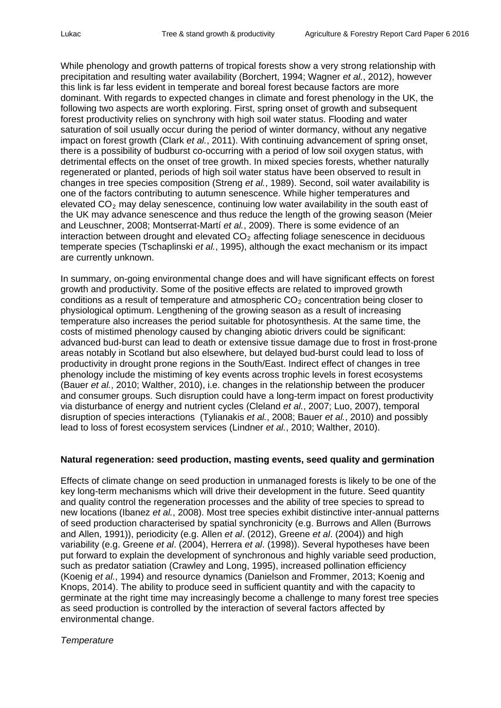While phenology and growth patterns of tropical forests show a very strong relationship with precipitation and resulting water availability (Borchert, 1994; Wagner *et al.*, 2012), however this link is far less evident in temperate and boreal forest because factors are more dominant. With regards to expected changes in climate and forest phenology in the UK, the following two aspects are worth exploring. First, spring onset of growth and subsequent forest productivity relies on synchrony with high soil water status. Flooding and water saturation of soil usually occur during the period of winter dormancy, without any negative impact on forest growth (Clark *et al.*, 2011). With continuing advancement of spring onset, there is a possibility of budburst co-occurring with a period of low soil oxygen status, with detrimental effects on the onset of tree growth. In mixed species forests, whether naturally regenerated or planted, periods of high soil water status have been observed to result in changes in tree species composition (Streng *et al.*, 1989). Second, soil water availability is one of the factors contributing to autumn senescence. While higher temperatures and elevated  $CO<sub>2</sub>$  may delay senescence, continuing low water availability in the south east of the UK may advance senescence and thus reduce the length of the growing season (Meier and Leuschner, 2008; Montserrat-Martí *et al.*, 2009). There is some evidence of an interaction between drought and elevated  $CO<sub>2</sub>$  affecting foliage senescence in deciduous temperate species (Tschaplinski *et al.*, 1995), although the exact mechanism or its impact are currently unknown.

In summary, on-going environmental change does and will have significant effects on forest growth and productivity. Some of the positive effects are related to improved growth conditions as a result of temperature and atmospheric  $CO<sub>2</sub>$  concentration being closer to physiological optimum. Lengthening of the growing season as a result of increasing temperature also increases the period suitable for photosynthesis. At the same time, the costs of mistimed phenology caused by changing abiotic drivers could be significant: advanced bud-burst can lead to death or extensive tissue damage due to frost in frost-prone areas notably in Scotland but also elsewhere, but delayed bud-burst could lead to loss of productivity in drought prone regions in the South/East. Indirect effect of changes in tree phenology include the mistiming of key events across trophic levels in forest ecosystems (Bauer *et al.*, 2010; Walther, 2010), i.e. changes in the relationship between the producer and consumer groups. Such disruption could have a long-term impact on forest productivity via disturbance of energy and nutrient cycles (Cleland *et al.*, 2007; Luo, 2007), temporal disruption of species interactions (Tylianakis *et al.*, 2008; Bauer *et al.*, 2010) and possibly lead to loss of forest ecosystem services (Lindner *et al.*, 2010; Walther, 2010).

## **Natural regeneration: seed production, masting events, seed quality and germination**

Effects of climate change on seed production in unmanaged forests is likely to be one of the key long-term mechanisms which will drive their development in the future. Seed quantity and quality control the regeneration processes and the ability of tree species to spread to new locations (Ibanez *et al.*, 2008). Most tree species exhibit distinctive inter-annual patterns of seed production characterised by spatial synchronicity (e.g. Burrows and Allen (Burrows and Allen, 1991)), periodicity (e.g. Allen *et al*. (2012), Greene *et al*. (2004)) and high variability (e.g. Greene *et al*. (2004), Herrera *et al*. (1998)). Several hypotheses have been put forward to explain the development of synchronous and highly variable seed production, such as predator satiation (Crawley and Long, 1995), increased pollination efficiency (Koenig *et al.*, 1994) and resource dynamics (Danielson and Frommer, 2013; Koenig and Knops, 2014). The ability to produce seed in sufficient quantity and with the capacity to germinate at the right time may increasingly become a challenge to many forest tree species as seed production is controlled by the interaction of several factors affected by environmental change.

## *Temperature*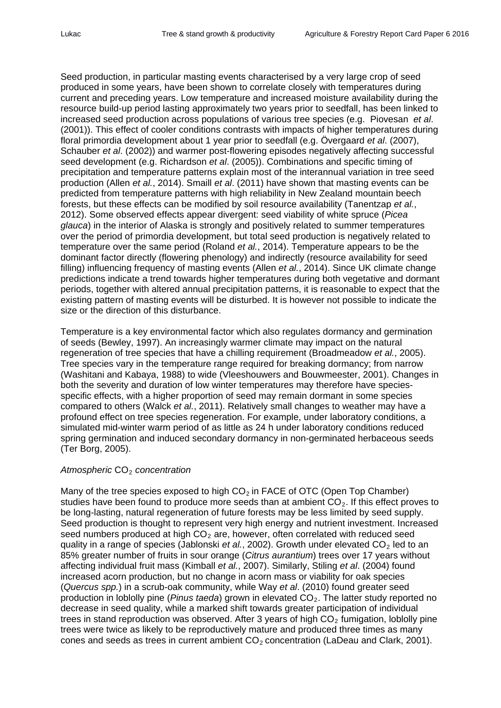Seed production, in particular masting events characterised by a very large crop of seed produced in some years, have been shown to correlate closely with temperatures during current and preceding years. Low temperature and increased moisture availability during the resource build-up period lasting approximately two years prior to seedfall, has been linked to increased seed production across populations of various tree species (e.g. Piovesan *et al*. (2001)). This effect of cooler conditions contrasts with impacts of higher temperatures during floral primordia development about 1 year prior to seedfall (e.g. Övergaard *et al*. (2007), Schauber *et al*. (2002)) and warmer post-flowering episodes negatively affecting successful seed development (e.g. Richardson *et al*. (2005)). Combinations and specific timing of precipitation and temperature patterns explain most of the interannual variation in tree seed production (Allen *et al.*, 2014). Smaill *et al*. (2011) have shown that masting events can be predicted from temperature patterns with high reliability in New Zealand mountain beech forests, but these effects can be modified by soil resource availability (Tanentzap *et al.*, 2012). Some observed effects appear divergent: seed viability of white spruce (*Picea glauca*) in the interior of Alaska is strongly and positively related to summer temperatures over the period of primordia development, but total seed production is negatively related to temperature over the same period (Roland *et al.*, 2014). Temperature appears to be the dominant factor directly (flowering phenology) and indirectly (resource availability for seed filling) influencing frequency of masting events (Allen *et al.*, 2014). Since UK climate change predictions indicate a trend towards higher temperatures during both vegetative and dormant periods, together with altered annual precipitation patterns, it is reasonable to expect that the existing pattern of masting events will be disturbed. It is however not possible to indicate the size or the direction of this disturbance.

Temperature is a key environmental factor which also regulates dormancy and germination of seeds (Bewley, 1997). An increasingly warmer climate may impact on the natural regeneration of tree species that have a chilling requirement (Broadmeadow *et al.*, 2005). Tree species vary in the temperature range required for breaking dormancy; from narrow (Washitani and Kabaya, 1988) to wide (Vleeshouwers and Bouwmeester, 2001). Changes in both the severity and duration of low winter temperatures may therefore have speciesspecific effects, with a higher proportion of seed may remain dormant in some species compared to others (Walck *et al.*, 2011). Relatively small changes to weather may have a profound effect on tree species regeneration. For example, under laboratory conditions, a simulated mid-winter warm period of as little as 24 h under laboratory conditions reduced spring germination and induced secondary dormancy in non-germinated herbaceous seeds (Ter Borg, 2005).

## *Atmospheric* CO2 *concentration*

Many of the tree species exposed to high  $CO<sub>2</sub>$  in FACE of OTC (Open Top Chamber) studies have been found to produce more seeds than at ambient  $CO<sub>2</sub>$ . If this effect proves to be long-lasting, natural regeneration of future forests may be less limited by seed supply. Seed production is thought to represent very high energy and nutrient investment. Increased seed numbers produced at high  $CO<sub>2</sub>$  are, however, often correlated with reduced seed quality in a range of species (Jablonski *et al.*, 2002). Growth under elevated CO<sub>2</sub> led to an 85% greater number of fruits in sour orange (*Citrus aurantium*) trees over 17 years without affecting individual fruit mass (Kimball *et al.*, 2007). Similarly, Stiling *et al*. (2004) found increased acorn production, but no change in acorn mass or viability for oak species (*Quercus spp.*) in a scrub-oak community, while Way *et al*. (2010) found greater seed production in loblolly pine (*Pinus taeda*) grown in elevated CO<sub>2</sub>. The latter study reported no decrease in seed quality, while a marked shift towards greater participation of individual trees in stand reproduction was observed. After 3 years of high  $CO<sub>2</sub>$  fumigation, loblolly pine trees were twice as likely to be reproductively mature and produced three times as many cones and seeds as trees in current ambient  $CO<sub>2</sub>$  concentration (LaDeau and Clark, 2001).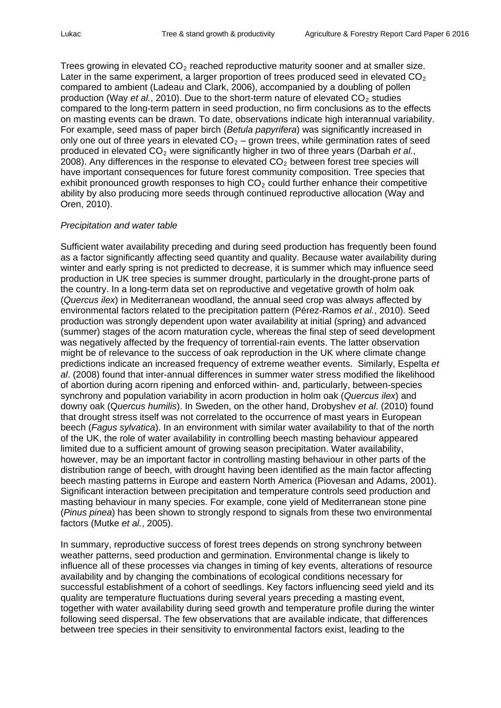Trees growing in elevated  $CO<sub>2</sub>$  reached reproductive maturity sooner and at smaller size. Later in the same experiment, a larger proportion of trees produced seed in elevated  $CO<sub>2</sub>$ compared to ambient (Ladeau and Clark, 2006), accompanied by a doubling of pollen production (Way *et al.*, 2010). Due to the short-term nature of elevated CO<sub>2</sub> studies compared to the long-term pattern in seed production, no firm conclusions as to the effects on masting events can be drawn. To date, observations indicate high interannual variability. For example, seed mass of paper birch (*Betula papyrifera*) was significantly increased in only one out of three years in elevated  $CO<sub>2</sub> -$  grown trees, while germination rates of seed produced in elevated CO2 were significantly higher in two of three years (Darbah *et al.*, 2008). Any differences in the response to elevated  $CO<sub>2</sub>$  between forest tree species will have important consequences for future forest community composition. Tree species that exhibit pronounced growth responses to high  $CO<sub>2</sub>$  could further enhance their competitive ability by also producing more seeds through continued reproductive allocation (Way and Oren, 2010).

#### *Precipitation and water table*

Sufficient water availability preceding and during seed production has frequently been found as a factor significantly affecting seed quantity and quality. Because water availability during winter and early spring is not predicted to decrease, it is summer which may influence seed production in UK tree species is summer drought, particularly in the drought-prone parts of the country. In a long-term data set on reproductive and vegetative growth of holm oak (*Quercus ilex*) in Mediterranean woodland, the annual seed crop was always affected by environmental factors related to the precipitation pattern (Pérez-Ramos *et al.*, 2010). Seed production was strongly dependent upon water availability at initial (spring) and advanced (summer) stages of the acorn maturation cycle, whereas the final step of seed development was negatively affected by the frequency of torrential-rain events. The latter observation might be of relevance to the success of oak reproduction in the UK where climate change predictions indicate an increased frequency of extreme weather events. Similarly, Espelta *et al*. (2008) found that inter-annual differences in summer water stress modified the likelihood of abortion during acorn ripening and enforced within- and, particularly, between-species synchrony and population variability in acorn production in holm oak (*Quercus ilex*) and downy oak (Q*uercus humilis*). In Sweden, on the other hand, Drobyshev *et al*. (2010) found that drought stress itself was not correlated to the occurrence of mast years in European beech (*Fagus sylvatica*). In an environment with similar water availability to that of the north of the UK, the role of water availability in controlling beech masting behaviour appeared limited due to a sufficient amount of growing season precipitation. Water availability, however, may be an important factor in controlling masting behaviour in other parts of the distribution range of beech, with drought having been identified as the main factor affecting beech masting patterns in Europe and eastern North America (Piovesan and Adams, 2001). Significant interaction between precipitation and temperature controls seed production and masting behaviour in many species. For example, cone yield of Mediterranean stone pine (*Pinus pinea*) has been shown to strongly respond to signals from these two environmental factors (Mutke *et al.*, 2005).

In summary, reproductive success of forest trees depends on strong synchrony between weather patterns, seed production and germination. Environmental change is likely to influence all of these processes via changes in timing of key events, alterations of resource availability and by changing the combinations of ecological conditions necessary for successful establishment of a cohort of seedlings. Key factors influencing seed yield and its quality are temperature fluctuations during several years preceding a masting event, together with water availability during seed growth and temperature profile during the winter following seed dispersal. The few observations that are available indicate, that differences between tree species in their sensitivity to environmental factors exist, leading to the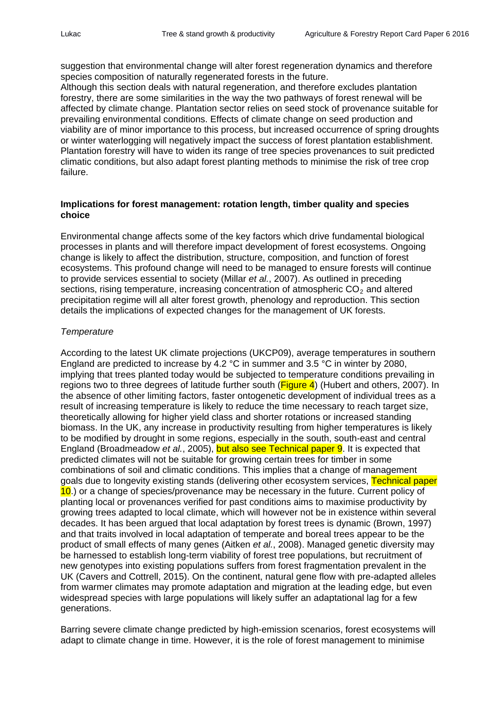suggestion that environmental change will alter forest regeneration dynamics and therefore species composition of naturally regenerated forests in the future.

Although this section deals with natural regeneration, and therefore excludes plantation forestry, there are some similarities in the way the two pathways of forest renewal will be affected by climate change. Plantation sector relies on seed stock of provenance suitable for prevailing environmental conditions. Effects of climate change on seed production and viability are of minor importance to this process, but increased occurrence of spring droughts or winter waterlogging will negatively impact the success of forest plantation establishment. Plantation forestry will have to widen its range of tree species provenances to suit predicted climatic conditions, but also adapt forest planting methods to minimise the risk of tree crop failure.

#### **Implications for forest management: rotation length, timber quality and species choice**

Environmental change affects some of the key factors which drive fundamental biological processes in plants and will therefore impact development of forest ecosystems. Ongoing change is likely to affect the distribution, structure, composition, and function of forest ecosystems. This profound change will need to be managed to ensure forests will continue to provide services essential to society (Millar *et al.*, 2007). As outlined in preceding sections, rising temperature, increasing concentration of atmospheric  $CO<sub>2</sub>$  and altered precipitation regime will all alter forest growth, phenology and reproduction. This section details the implications of expected changes for the management of UK forests.

#### *Temperature*

According to the latest UK climate projections (UKCP09), average temperatures in southern England are predicted to increase by 4.2 °C in summer and 3.5 °C in winter by 2080, implying that trees planted today would be subjected to temperature conditions prevailing in regions two to three degrees of latitude further south ( $Figure 4$ ) (Hubert and others, 2007). In the absence of other limiting factors, faster ontogenetic development of individual trees as a result of increasing temperature is likely to reduce the time necessary to reach target size, theoretically allowing for higher yield class and shorter rotations or increased standing biomass. In the UK, any increase in productivity resulting from higher temperatures is likely to be modified by drought in some regions, especially in the south, south-east and central England (Broadmeadow *et al.*, 2005), but also see Technical paper 9. It is expected that predicted climates will not be suitable for growing certain trees for timber in some combinations of soil and climatic conditions. This implies that a change of management goals due to longevity existing stands (delivering other ecosystem services, Technical paper 10.) or a change of species/provenance may be necessary in the future. Current policy of planting local or provenances verified for past conditions aims to maximise productivity by growing trees adapted to local climate, which will however not be in existence within several decades. It has been argued that local adaptation by forest trees is dynamic (Brown, 1997) and that traits involved in local adaptation of temperate and boreal trees appear to be the product of small effects of many genes (Aitken *et al.*, 2008). Managed genetic diversity may be harnessed to establish long-term viability of forest tree populations, but recruitment of new genotypes into existing populations suffers from forest fragmentation prevalent in the UK (Cavers and Cottrell, 2015). On the continent, natural gene flow with pre-adapted alleles from warmer climates may promote adaptation and migration at the leading edge, but even widespread species with large populations will likely suffer an adaptational lag for a few generations.

Barring severe climate change predicted by high-emission scenarios, forest ecosystems will adapt to climate change in time. However, it is the role of forest management to minimise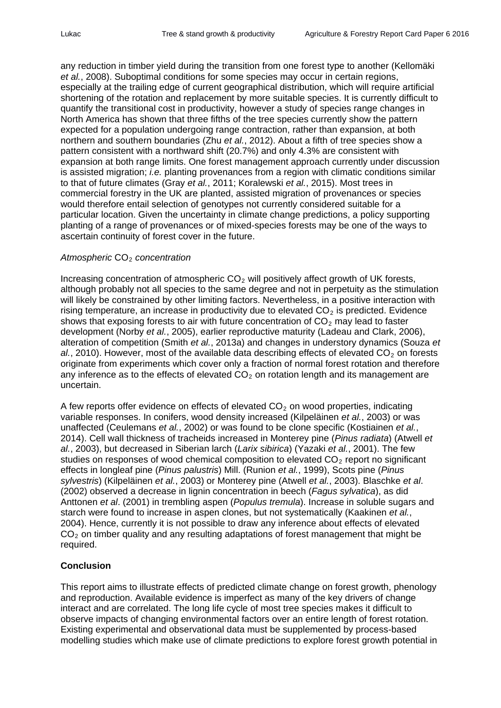any reduction in timber yield during the transition from one forest type to another (Kellomäki *et al.*, 2008). Suboptimal conditions for some species may occur in certain regions, especially at the trailing edge of current geographical distribution, which will require artificial shortening of the rotation and replacement by more suitable species. It is currently difficult to quantify the transitional cost in productivity, however a study of species range changes in North America has shown that three fifths of the tree species currently show the pattern expected for a population undergoing range contraction, rather than expansion, at both northern and southern boundaries (Zhu *et al.*, 2012). About a fifth of tree species show a pattern consistent with a northward shift (20.7%) and only 4.3% are consistent with expansion at both range limits. One forest management approach currently under discussion is assisted migration; *i.e.* planting provenances from a region with climatic conditions similar to that of future climates (Gray *et al.*, 2011; Koralewski *et al.*, 2015). Most trees in commercial forestry in the UK are planted, assisted migration of provenances or species would therefore entail selection of genotypes not currently considered suitable for a particular location. Given the uncertainty in climate change predictions, a policy supporting planting of a range of provenances or of mixed-species forests may be one of the ways to ascertain continuity of forest cover in the future.

#### *Atmospheric* CO2 *concentration*

Increasing concentration of atmospheric  $CO<sub>2</sub>$  will positively affect growth of UK forests, although probably not all species to the same degree and not in perpetuity as the stimulation will likely be constrained by other limiting factors. Nevertheless, in a positive interaction with rising temperature, an increase in productivity due to elevated  $CO<sub>2</sub>$  is predicted. Evidence shows that exposing forests to air with future concentration of  $CO<sub>2</sub>$  may lead to faster development (Norby *et al.*, 2005), earlier reproductive maturity (Ladeau and Clark, 2006), alteration of competition (Smith *et al.*, 2013a) and changes in understory dynamics (Souza *et*   $al$ , 2010). However, most of the available data describing effects of elevated  $CO<sub>2</sub>$  on forests originate from experiments which cover only a fraction of normal forest rotation and therefore any inference as to the effects of elevated  $CO<sub>2</sub>$  on rotation length and its management are uncertain.

A few reports offer evidence on effects of elevated  $CO<sub>2</sub>$  on wood properties, indicating variable responses. In conifers, wood density increased (Kilpeläinen *et al.*, 2003) or was unaffected (Ceulemans *et al.*, 2002) or was found to be clone specific (Kostiainen *et al.*, 2014). Cell wall thickness of tracheids increased in Monterey pine (*Pinus radiata*) (Atwell *et al.*, 2003), but decreased in Siberian larch (*Larix sibirica*) (Yazaki *et al.*, 2001). The few studies on responses of wood chemical composition to elevated  $CO<sub>2</sub>$  report no significant effects in longleaf pine (*Pinus palustris*) Mill. (Runion *et al.*, 1999), Scots pine (*Pinus sylvestris*) (Kilpeläinen *et al.*, 2003) or Monterey pine (Atwell *et al.*, 2003). Blaschke *et al*. (2002) observed a decrease in lignin concentration in beech (*Fagus sylvatica*), as did Anttonen *et al*. (2001) in trembling aspen (*Populus tremula*). Increase in soluble sugars and starch were found to increase in aspen clones, but not systematically (Kaakinen *et al.*, 2004). Hence, currently it is not possible to draw any inference about effects of elevated  $CO<sub>2</sub>$  on timber quality and any resulting adaptations of forest management that might be required.

## **Conclusion**

This report aims to illustrate effects of predicted climate change on forest growth, phenology and reproduction. Available evidence is imperfect as many of the key drivers of change interact and are correlated. The long life cycle of most tree species makes it difficult to observe impacts of changing environmental factors over an entire length of forest rotation. Existing experimental and observational data must be supplemented by process-based modelling studies which make use of climate predictions to explore forest growth potential in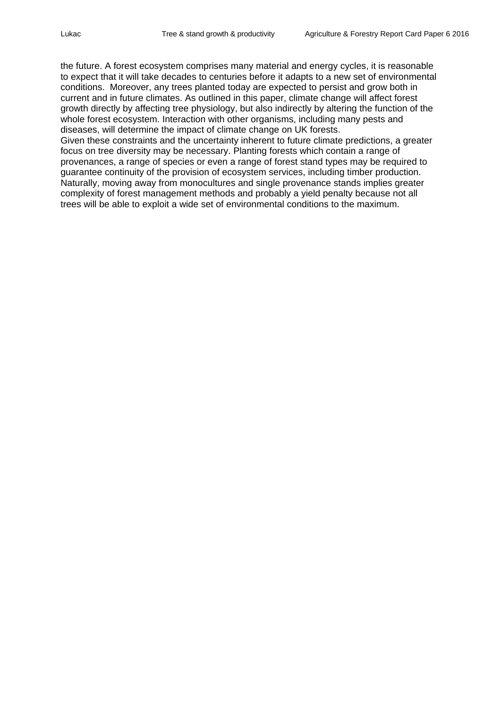the future. A forest ecosystem comprises many material and energy cycles, it is reasonable to expect that it will take decades to centuries before it adapts to a new set of environmental conditions. Moreover, any trees planted today are expected to persist and grow both in current and in future climates. As outlined in this paper, climate change will affect forest growth directly by affecting tree physiology, but also indirectly by altering the function of the whole forest ecosystem. Interaction with other organisms, including many pests and diseases, will determine the impact of climate change on UK forests. Given these constraints and the uncertainty inherent to future climate predictions, a greater focus on tree diversity may be necessary. Planting forests which contain a range of provenances, a range of species or even a range of forest stand types may be required to guarantee continuity of the provision of ecosystem services, including timber production. Naturally, moving away from monocultures and single provenance stands implies greater complexity of forest management methods and probably a yield penalty because not all trees will be able to exploit a wide set of environmental conditions to the maximum.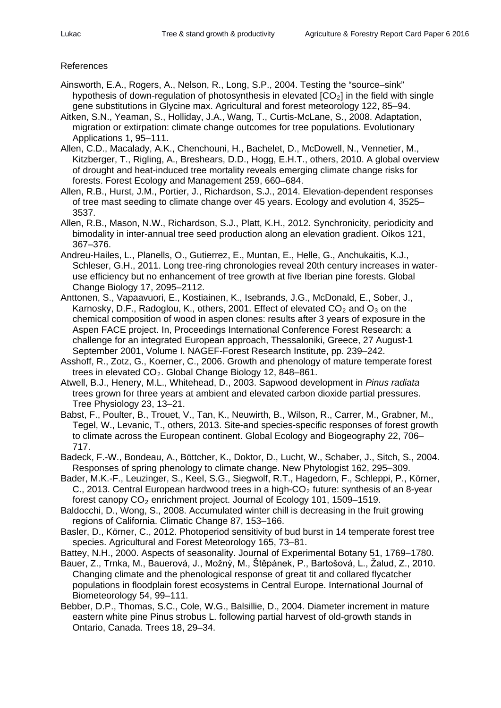#### References

- Ainsworth, E.A., Rogers, A., Nelson, R., Long, S.P., 2004. Testing the "source–sink" hypothesis of down-regulation of photosynthesis in elevated  $[CO<sub>2</sub>]$  in the field with single gene substitutions in Glycine max. Agricultural and forest meteorology 122, 85–94.
- Aitken, S.N., Yeaman, S., Holliday, J.A., Wang, T., Curtis-McLane, S., 2008. Adaptation, migration or extirpation: climate change outcomes for tree populations. Evolutionary Applications 1, 95–111.
- Allen, C.D., Macalady, A.K., Chenchouni, H., Bachelet, D., McDowell, N., Vennetier, M., Kitzberger, T., Rigling, A., Breshears, D.D., Hogg, E.H.T., others, 2010. A global overview of drought and heat-induced tree mortality reveals emerging climate change risks for forests. Forest Ecology and Management 259, 660–684.
- Allen, R.B., Hurst, J.M., Portier, J., Richardson, S.J., 2014. Elevation-dependent responses of tree mast seeding to climate change over 45 years. Ecology and evolution 4, 3525– 3537.
- Allen, R.B., Mason, N.W., Richardson, S.J., Platt, K.H., 2012. Synchronicity, periodicity and bimodality in inter-annual tree seed production along an elevation gradient. Oikos 121, 367–376.
- Andreu-Hailes, L., Planells, O., Gutierrez, E., Muntan, E., Helle, G., Anchukaitis, K.J., Schleser, G.H., 2011. Long tree-ring chronologies reveal 20th century increases in wateruse efficiency but no enhancement of tree growth at five Iberian pine forests. Global Change Biology 17, 2095–2112.
- Anttonen, S., Vapaavuori, E., Kostiainen, K., Isebrands, J.G., McDonald, E., Sober, J., Karnosky, D.F., Radoglou, K., others, 2001. Effect of elevated  $CO<sub>2</sub>$  and  $O<sub>3</sub>$  on the chemical composition of wood in aspen clones: results after 3 years of exposure in the Aspen FACE project. In, Proceedings International Conference Forest Research: a challenge for an integrated European approach, Thessaloniki, Greece, 27 August-1 September 2001, Volume I. NAGEF-Forest Research Institute, pp. 239–242.
- Asshoff, R., Zotz, G., Koerner, C., 2006. Growth and phenology of mature temperate forest trees in elevated  $CO<sub>2</sub>$ . Global Change Biology 12, 848-861.
- Atwell, B.J., Henery, M.L., Whitehead, D., 2003. Sapwood development in *Pinus radiata* trees grown for three years at ambient and elevated carbon dioxide partial pressures. Tree Physiology 23, 13–21.
- Babst, F., Poulter, B., Trouet, V., Tan, K., Neuwirth, B., Wilson, R., Carrer, M., Grabner, M., Tegel, W., Levanic, T., others, 2013. Site-and species-specific responses of forest growth to climate across the European continent. Global Ecology and Biogeography 22, 706– 717.
- Badeck, F.-W., Bondeau, A., Böttcher, K., Doktor, D., Lucht, W., Schaber, J., Sitch, S., 2004. Responses of spring phenology to climate change. New Phytologist 162, 295–309.
- Bader, M.K.-F., Leuzinger, S., Keel, S.G., Siegwolf, R.T., Hagedorn, F., Schleppi, P., Körner, C., 2013. Central European hardwood trees in a high- $CO<sub>2</sub>$  future: synthesis of an 8-year forest canopy  $CO<sub>2</sub>$  enrichment project. Journal of Ecology 101, 1509–1519.
- Baldocchi, D., Wong, S., 2008. Accumulated winter chill is decreasing in the fruit growing regions of California. Climatic Change 87, 153–166.
- Basler, D., Körner, C., 2012. Photoperiod sensitivity of bud burst in 14 temperate forest tree species. Agricultural and Forest Meteorology 165, 73–81.
- Battey, N.H., 2000. Aspects of seasonality. Journal of Experimental Botany 51, 1769–1780.
- Bauer, Z., Trnka, M., Bauerová, J., Možnỳ, M., Štěpánek, P., Bartošová, L., Žalud, Z., 2010. Changing climate and the phenological response of great tit and collared flycatcher populations in floodplain forest ecosystems in Central Europe. International Journal of Biometeorology 54, 99–111.
- Bebber, D.P., Thomas, S.C., Cole, W.G., Balsillie, D., 2004. Diameter increment in mature eastern white pine Pinus strobus L. following partial harvest of old-growth stands in Ontario, Canada. Trees 18, 29–34.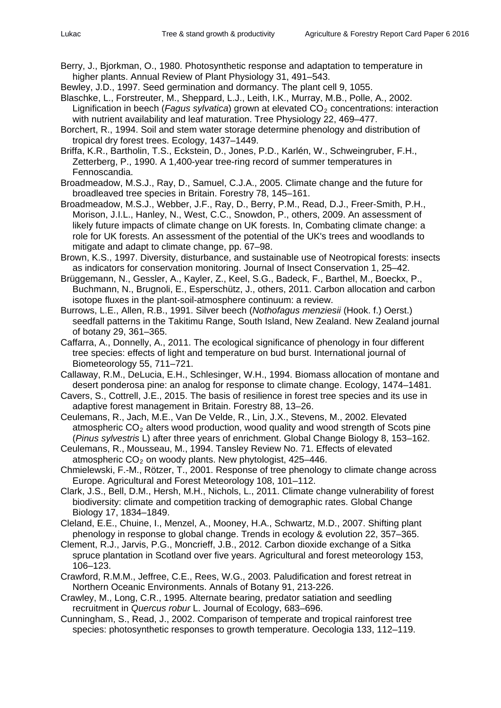Berry, J., Bjorkman, O., 1980. Photosynthetic response and adaptation to temperature in higher plants. Annual Review of Plant Physiology 31, 491–543.

Bewley, J.D., 1997. Seed germination and dormancy. The plant cell 9, 1055.

- Blaschke, L., Forstreuter, M., Sheppard, L.J., Leith, I.K., Murray, M.B., Polle, A., 2002. Lignification in beech (*Fagus sylvatica*) grown at elevated CO<sub>2</sub> concentrations: interaction with nutrient availability and leaf maturation. Tree Physiology 22, 469–477.
- Borchert, R., 1994. Soil and stem water storage determine phenology and distribution of tropical dry forest trees. Ecology, 1437–1449.

Briffa, K.R., Bartholin, T.S., Eckstein, D., Jones, P.D., Karlén, W., Schweingruber, F.H., Zetterberg, P., 1990. A 1,400-year tree-ring record of summer temperatures in Fennoscandia.

Broadmeadow, M.S.J., Ray, D., Samuel, C.J.A., 2005. Climate change and the future for broadleaved tree species in Britain. Forestry 78, 145–161.

- Broadmeadow, M.S.J., Webber, J.F., Ray, D., Berry, P.M., Read, D.J., Freer-Smith, P.H., Morison, J.I.L., Hanley, N., West, C.C., Snowdon, P., others, 2009. An assessment of likely future impacts of climate change on UK forests. In, Combating climate change: a role for UK forests. An assessment of the potential of the UK's trees and woodlands to mitigate and adapt to climate change, pp. 67–98.
- Brown, K.S., 1997. Diversity, disturbance, and sustainable use of Neotropical forests: insects as indicators for conservation monitoring. Journal of Insect Conservation 1, 25–42.
- Brüggemann, N., Gessler, A., Kayler, Z., Keel, S.G., Badeck, F., Barthel, M., Boeckx, P., Buchmann, N., Brugnoli, E., Esperschütz, J., others, 2011. Carbon allocation and carbon isotope fluxes in the plant-soil-atmosphere continuum: a review.

Burrows, L.E., Allen, R.B., 1991. Silver beech (*Nothofagus menziesii* (Hook. f.) Oerst.) seedfall patterns in the Takitimu Range, South Island, New Zealand. New Zealand journal of botany 29, 361–365.

- Caffarra, A., Donnelly, A., 2011. The ecological significance of phenology in four different tree species: effects of light and temperature on bud burst. International journal of Biometeorology 55, 711–721.
- Callaway, R.M., DeLucia, E.H., Schlesinger, W.H., 1994. Biomass allocation of montane and desert ponderosa pine: an analog for response to climate change. Ecology, 1474–1481.
- Cavers, S., Cottrell, J.E., 2015. The basis of resilience in forest tree species and its use in adaptive forest management in Britain. Forestry 88, 13–26.
- Ceulemans, R., Jach, M.E., Van De Velde, R., Lin, J.X., Stevens, M., 2002. Elevated atmospheric  $CO<sub>2</sub>$  alters wood production, wood quality and wood strength of Scots pine (*Pinus sylvestris* L) after three years of enrichment. Global Change Biology 8, 153–162.
- Ceulemans, R., Mousseau, M., 1994. Tansley Review No. 71. Effects of elevated atmospheric  $CO<sub>2</sub>$  on woody plants. New phytologist, 425–446.
- Chmielewski, F.-M., Rötzer, T., 2001. Response of tree phenology to climate change across Europe. Agricultural and Forest Meteorology 108, 101–112.
- Clark, J.S., Bell, D.M., Hersh, M.H., Nichols, L., 2011. Climate change vulnerability of forest biodiversity: climate and competition tracking of demographic rates. Global Change Biology 17, 1834–1849.
- Cleland, E.E., Chuine, I., Menzel, A., Mooney, H.A., Schwartz, M.D., 2007. Shifting plant phenology in response to global change. Trends in ecology & evolution 22, 357–365.
- Clement, R.J., Jarvis, P.G., Moncrieff, J.B., 2012. Carbon dioxide exchange of a Sitka spruce plantation in Scotland over five years. Agricultural and forest meteorology 153, 106–123.
- Crawford, R.M.M., Jeffree, C.E., Rees, W.G., 2003. Paludification and forest retreat in Northern Oceanic Environments. Annals of Botany 91, 213-226.
- Crawley, M., Long, C.R., 1995. Alternate bearing, predator satiation and seedling recruitment in *Quercus robur* L. Journal of Ecology, 683–696.
- Cunningham, S., Read, J., 2002. Comparison of temperate and tropical rainforest tree species: photosynthetic responses to growth temperature. Oecologia 133, 112–119.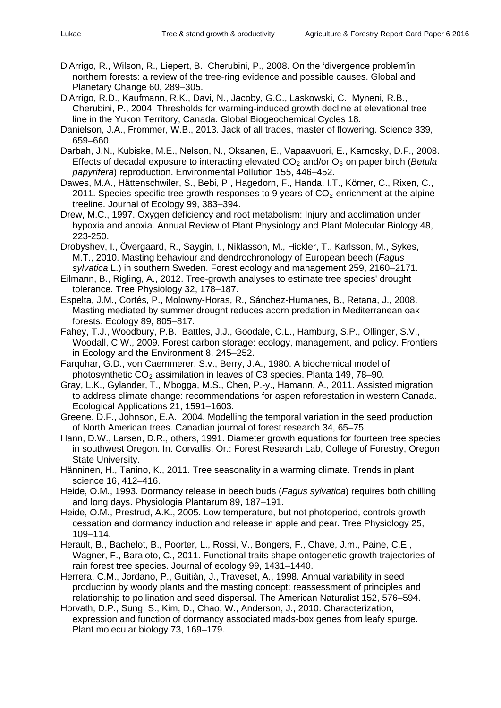- D'Arrigo, R., Wilson, R., Liepert, B., Cherubini, P., 2008. On the 'divergence problem'in northern forests: a review of the tree-ring evidence and possible causes. Global and Planetary Change 60, 289–305.
- D'Arrigo, R.D., Kaufmann, R.K., Davi, N., Jacoby, G.C., Laskowski, C., Myneni, R.B., Cherubini, P., 2004. Thresholds for warming-induced growth decline at elevational tree line in the Yukon Territory, Canada. Global Biogeochemical Cycles 18.
- Danielson, J.A., Frommer, W.B., 2013. Jack of all trades, master of flowering. Science 339, 659–660.
- Darbah, J.N., Kubiske, M.E., Nelson, N., Oksanen, E., Vapaavuori, E., Karnosky, D.F., 2008. Effects of decadal exposure to interacting elevated CO<sub>2</sub> and/or O<sub>3</sub> on paper birch (*Betula papyrifera*) reproduction. Environmental Pollution 155, 446–452.
- Dawes, M.A., Hättenschwiler, S., Bebi, P., Hagedorn, F., Handa, I.T., Körner, C., Rixen, C., 2011. Species-specific tree growth responses to 9 years of  $CO<sub>2</sub>$  enrichment at the alpine treeline. Journal of Ecology 99, 383–394.
- Drew, M.C., 1997. Oxygen deficiency and root metabolism: Injury and acclimation under hypoxia and anoxia. Annual Review of Plant Physiology and Plant Molecular Biology 48, 223-250.
- Drobyshev, I., Övergaard, R., Saygin, I., Niklasson, M., Hickler, T., Karlsson, M., Sykes, M.T., 2010. Masting behaviour and dendrochronology of European beech (*Fagus sylvatica* L.) in southern Sweden. Forest ecology and management 259, 2160–2171.
- Eilmann, B., Rigling, A., 2012. Tree-growth analyses to estimate tree species' drought tolerance. Tree Physiology 32, 178–187.
- Espelta, J.M., Cortés, P., Molowny-Horas, R., Sánchez-Humanes, B., Retana, J., 2008. Masting mediated by summer drought reduces acorn predation in Mediterranean oak forests. Ecology 89, 805–817.
- Fahey, T.J., Woodbury, P.B., Battles, J.J., Goodale, C.L., Hamburg, S.P., Ollinger, S.V., Woodall, C.W., 2009. Forest carbon storage: ecology, management, and policy. Frontiers in Ecology and the Environment 8, 245–252.
- Farquhar, G.D., von Caemmerer, S.v., Berry, J.A., 1980. A biochemical model of photosynthetic  $CO<sub>2</sub>$  assimilation in leaves of C3 species. Planta 149, 78–90.
- Gray, L.K., Gylander, T., Mbogga, M.S., Chen, P.-y., Hamann, A., 2011. Assisted migration to address climate change: recommendations for aspen reforestation in western Canada. Ecological Applications 21, 1591–1603.
- Greene, D.F., Johnson, E.A., 2004. Modelling the temporal variation in the seed production of North American trees. Canadian journal of forest research 34, 65–75.
- Hann, D.W., Larsen, D.R., others, 1991. Diameter growth equations for fourteen tree species in southwest Oregon. In. Corvallis, Or.: Forest Research Lab, College of Forestry, Oregon State University.
- Hänninen, H., Tanino, K., 2011. Tree seasonality in a warming climate. Trends in plant science 16, 412–416.
- Heide, O.M., 1993. Dormancy release in beech buds (*Fagus sylvatica*) requires both chilling and long days. Physiologia Plantarum 89, 187–191.
- Heide, O.M., Prestrud, A.K., 2005. Low temperature, but not photoperiod, controls growth cessation and dormancy induction and release in apple and pear. Tree Physiology 25, 109–114.
- Herault, B., Bachelot, B., Poorter, L., Rossi, V., Bongers, F., Chave, J.m., Paine, C.E., Wagner, F., Baraloto, C., 2011. Functional traits shape ontogenetic growth trajectories of rain forest tree species. Journal of ecology 99, 1431–1440.
- Herrera, C.M., Jordano, P., Guitián, J., Traveset, A., 1998. Annual variability in seed production by woody plants and the masting concept: reassessment of principles and relationship to pollination and seed dispersal. The American Naturalist 152, 576–594.
- Horvath, D.P., Sung, S., Kim, D., Chao, W., Anderson, J., 2010. Characterization, expression and function of dormancy associated mads-box genes from leafy spurge. Plant molecular biology 73, 169–179.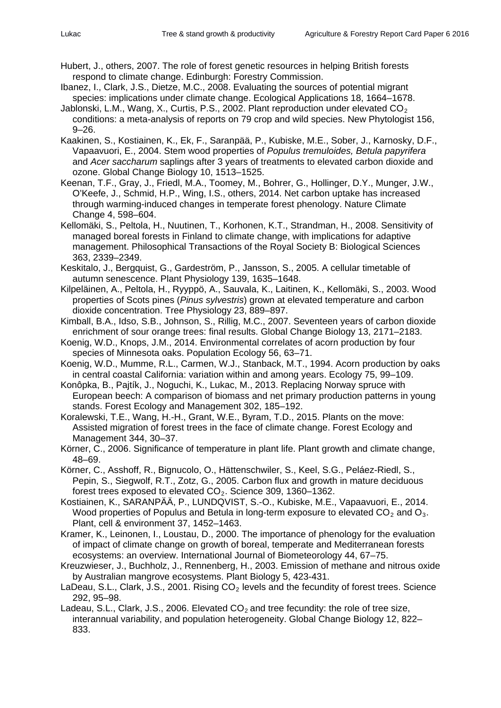- Hubert, J., others, 2007. The role of forest genetic resources in helping British forests respond to climate change. Edinburgh: Forestry Commission.
- Ibanez, I., Clark, J.S., Dietze, M.C., 2008. Evaluating the sources of potential migrant species: implications under climate change. Ecological Applications 18, 1664–1678.
- Jablonski, L.M., Wang, X., Curtis, P.S., 2002. Plant reproduction under elevated  $CO<sub>2</sub>$ conditions: a meta-analysis of reports on 79 crop and wild species. New Phytologist 156, 9–26.
- Kaakinen, S., Kostiainen, K., Ek, F., Saranpää, P., Kubiske, M.E., Sober, J., Karnosky, D.F., Vapaavuori, E., 2004. Stem wood properties of *Populus tremuloides, Betula papyrifera* and *Acer saccharum* saplings after 3 years of treatments to elevated carbon dioxide and ozone. Global Change Biology 10, 1513–1525.
- Keenan, T.F., Gray, J., Friedl, M.A., Toomey, M., Bohrer, G., Hollinger, D.Y., Munger, J.W., O'Keefe, J., Schmid, H.P., Wing, I.S., others, 2014. Net carbon uptake has increased through warming-induced changes in temperate forest phenology. Nature Climate Change 4, 598–604.
- Kellomäki, S., Peltola, H., Nuutinen, T., Korhonen, K.T., Strandman, H., 2008. Sensitivity of managed boreal forests in Finland to climate change, with implications for adaptive management. Philosophical Transactions of the Royal Society B: Biological Sciences 363, 2339–2349.
- Keskitalo, J., Bergquist, G., Gardeström, P., Jansson, S., 2005. A cellular timetable of autumn senescence. Plant Physiology 139, 1635–1648.
- Kilpeläinen, A., Peltola, H., Ryyppö, A., Sauvala, K., Laitinen, K., Kellomäki, S., 2003. Wood properties of Scots pines (*Pinus sylvestris*) grown at elevated temperature and carbon dioxide concentration. Tree Physiology 23, 889–897.
- Kimball, B.A., Idso, S.B., Johnson, S., Rillig, M.C., 2007. Seventeen years of carbon dioxide enrichment of sour orange trees: final results. Global Change Biology 13, 2171–2183.
- Koenig, W.D., Knops, J.M., 2014. Environmental correlates of acorn production by four species of Minnesota oaks. Population Ecology 56, 63–71.
- Koenig, W.D., Mumme, R.L., Carmen, W.J., Stanback, M.T., 1994. Acorn production by oaks in central coastal California: variation within and among years. Ecology 75, 99–109.
- Konôpka, B., Pajtík, J., Noguchi, K., Lukac, M., 2013. Replacing Norway spruce with European beech: A comparison of biomass and net primary production patterns in young stands. Forest Ecology and Management 302, 185–192.
- Koralewski, T.E., Wang, H.-H., Grant, W.E., Byram, T.D., 2015. Plants on the move: Assisted migration of forest trees in the face of climate change. Forest Ecology and Management 344, 30–37.
- Körner, C., 2006. Significance of temperature in plant life. Plant growth and climate change, 48–69.
- Körner, C., Asshoff, R., Bignucolo, O., Hättenschwiler, S., Keel, S.G., Peláez-Riedl, S., Pepin, S., Siegwolf, R.T., Zotz, G., 2005. Carbon flux and growth in mature deciduous forest trees exposed to elevated  $CO<sub>2</sub>$ . Science 309, 1360–1362.
- Kostiainen, K., SARANPÄÄ, P., LUNDQVIST, S.-O., Kubiske, M.E., Vapaavuori, E., 2014. Wood properties of Populus and Betula in long-term exposure to elevated  $CO<sub>2</sub>$  and  $O<sub>3</sub>$ . Plant, cell & environment 37, 1452–1463.
- Kramer, K., Leinonen, I., Loustau, D., 2000. The importance of phenology for the evaluation of impact of climate change on growth of boreal, temperate and Mediterranean forests ecosystems: an overview. International Journal of Biometeorology 44, 67–75.
- Kreuzwieser, J., Buchholz, J., Rennenberg, H., 2003. Emission of methane and nitrous oxide by Australian mangrove ecosystems. Plant Biology 5, 423-431.
- LaDeau, S.L., Clark, J.S., 2001. Rising  $CO<sub>2</sub>$  levels and the fecundity of forest trees. Science 292, 95–98.
- Ladeau, S.L., Clark, J.S., 2006. Elevated  $CO<sub>2</sub>$  and tree fecundity: the role of tree size, interannual variability, and population heterogeneity. Global Change Biology 12, 822– 833.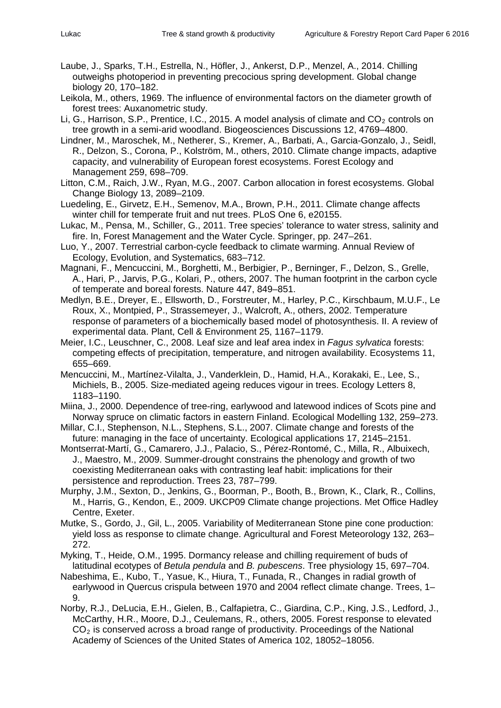- Laube, J., Sparks, T.H., Estrella, N., Höfler, J., Ankerst, D.P., Menzel, A., 2014. Chilling outweighs photoperiod in preventing precocious spring development. Global change biology 20, 170–182.
- Leikola, M., others, 1969. The influence of environmental factors on the diameter growth of forest trees: Auxanometric study.
- Li, G., Harrison, S.P., Prentice, I.C., 2015. A model analysis of climate and  $CO<sub>2</sub>$  controls on tree growth in a semi-arid woodland. Biogeosciences Discussions 12, 4769–4800.
- Lindner, M., Maroschek, M., Netherer, S., Kremer, A., Barbati, A., Garcia-Gonzalo, J., Seidl, R., Delzon, S., Corona, P., Kolström, M., others, 2010. Climate change impacts, adaptive capacity, and vulnerability of European forest ecosystems. Forest Ecology and Management 259, 698–709.
- Litton, C.M., Raich, J.W., Ryan, M.G., 2007. Carbon allocation in forest ecosystems. Global Change Biology 13, 2089–2109.
- Luedeling, E., Girvetz, E.H., Semenov, M.A., Brown, P.H., 2011. Climate change affects winter chill for temperate fruit and nut trees. PLoS One 6, e20155.
- Lukac, M., Pensa, M., Schiller, G., 2011. Tree species' tolerance to water stress, salinity and fire. In, Forest Management and the Water Cycle. Springer, pp. 247–261.
- Luo, Y., 2007. Terrestrial carbon-cycle feedback to climate warming. Annual Review of Ecology, Evolution, and Systematics, 683–712.
- Magnani, F., Mencuccini, M., Borghetti, M., Berbigier, P., Berninger, F., Delzon, S., Grelle, A., Hari, P., Jarvis, P.G., Kolari, P., others, 2007. The human footprint in the carbon cycle of temperate and boreal forests. Nature 447, 849–851.
- Medlyn, B.E., Dreyer, E., Ellsworth, D., Forstreuter, M., Harley, P.C., Kirschbaum, M.U.F., Le Roux, X., Montpied, P., Strassemeyer, J., Walcroft, A., others, 2002. Temperature response of parameters of a biochemically based model of photosynthesis. II. A review of experimental data. Plant, Cell & Environment 25, 1167–1179.
- Meier, I.C., Leuschner, C., 2008. Leaf size and leaf area index in *Fagus sylvatica* forests: competing effects of precipitation, temperature, and nitrogen availability. Ecosystems 11, 655–669.
- Mencuccini, M., Martínez-Vilalta, J., Vanderklein, D., Hamid, H.A., Korakaki, E., Lee, S., Michiels, B., 2005. Size-mediated ageing reduces vigour in trees. Ecology Letters 8, 1183–1190.
- Miina, J., 2000. Dependence of tree-ring, earlywood and latewood indices of Scots pine and Norway spruce on climatic factors in eastern Finland. Ecological Modelling 132, 259–273.
- Millar, C.I., Stephenson, N.L., Stephens, S.L., 2007. Climate change and forests of the future: managing in the face of uncertainty. Ecological applications 17, 2145–2151.
- Montserrat-Martí, G., Camarero, J.J., Palacio, S., Pérez-Rontomé, C., Milla, R., Albuixech, J., Maestro, M., 2009. Summer-drought constrains the phenology and growth of two coexisting Mediterranean oaks with contrasting leaf habit: implications for their persistence and reproduction. Trees 23, 787–799.
- Murphy, J.M., Sexton, D., Jenkins, G., Boorman, P., Booth, B., Brown, K., Clark, R., Collins, M., Harris, G., Kendon, E., 2009. UKCP09 Climate change projections. Met Office Hadley Centre, Exeter.
- Mutke, S., Gordo, J., Gil, L., 2005. Variability of Mediterranean Stone pine cone production: yield loss as response to climate change. Agricultural and Forest Meteorology 132, 263– 272.
- Myking, T., Heide, O.M., 1995. Dormancy release and chilling requirement of buds of latitudinal ecotypes of *Betula pendula* and *B. pubescens*. Tree physiology 15, 697–704.
- Nabeshima, E., Kubo, T., Yasue, K., Hiura, T., Funada, R., Changes in radial growth of earlywood in Quercus crispula between 1970 and 2004 reflect climate change. Trees, 1– 9.
- Norby, R.J., DeLucia, E.H., Gielen, B., Calfapietra, C., Giardina, C.P., King, J.S., Ledford, J., McCarthy, H.R., Moore, D.J., Ceulemans, R., others, 2005. Forest response to elevated  $CO<sub>2</sub>$  is conserved across a broad range of productivity. Proceedings of the National Academy of Sciences of the United States of America 102, 18052–18056.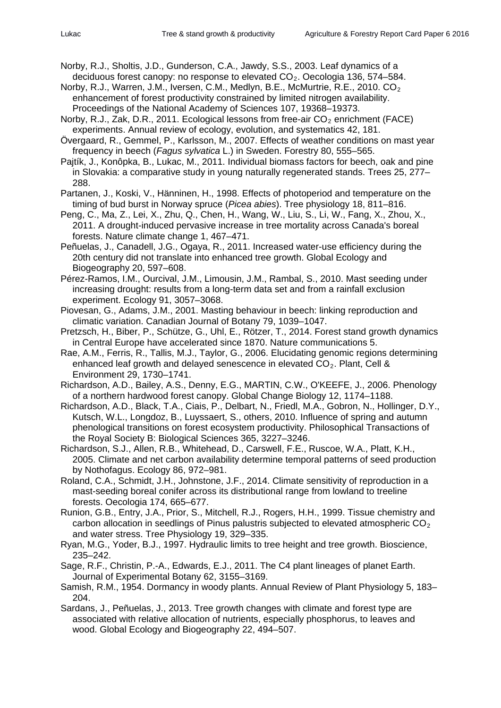- Norby, R.J., Sholtis, J.D., Gunderson, C.A., Jawdy, S.S., 2003. Leaf dynamics of a deciduous forest canopy: no response to elevated  $CO<sub>2</sub>$ . Oecologia 136, 574–584.
- Norby, R.J., Warren, J.M., Iversen, C.M., Medlyn, B.E., McMurtrie, R.E., 2010.  $CO<sub>2</sub>$ enhancement of forest productivity constrained by limited nitrogen availability. Proceedings of the National Academy of Sciences 107, 19368–19373.
- Norby, R.J., Zak, D.R., 2011. Ecological lessons from free-air  $CO<sub>2</sub>$  enrichment (FACE) experiments. Annual review of ecology, evolution, and systematics 42, 181.
- Övergaard, R., Gemmel, P., Karlsson, M., 2007. Effects of weather conditions on mast year frequency in beech (*Fagus sylvatica* L.) in Sweden. Forestry 80, 555–565.
- Pajtík, J., Konôpka, B., Lukac, M., 2011. Individual biomass factors for beech, oak and pine in Slovakia: a comparative study in young naturally regenerated stands. Trees 25, 277– 288.
- Partanen, J., Koski, V., Hänninen, H., 1998. Effects of photoperiod and temperature on the timing of bud burst in Norway spruce (*Picea abies*). Tree physiology 18, 811–816.
- Peng, C., Ma, Z., Lei, X., Zhu, Q., Chen, H., Wang, W., Liu, S., Li, W., Fang, X., Zhou, X., 2011. A drought-induced pervasive increase in tree mortality across Canada's boreal forests. Nature climate change 1, 467–471.
- Peñuelas, J., Canadell, J.G., Ogaya, R., 2011. Increased water-use efficiency during the 20th century did not translate into enhanced tree growth. Global Ecology and Biogeography 20, 597–608.
- Pérez-Ramos, I.M., Ourcival, J.M., Limousin, J.M., Rambal, S., 2010. Mast seeding under increasing drought: results from a long-term data set and from a rainfall exclusion experiment. Ecology 91, 3057–3068.
- Piovesan, G., Adams, J.M., 2001. Masting behaviour in beech: linking reproduction and climatic variation. Canadian Journal of Botany 79, 1039–1047.
- Pretzsch, H., Biber, P., Schütze, G., Uhl, E., Rötzer, T., 2014. Forest stand growth dynamics in Central Europe have accelerated since 1870. Nature communications 5.
- Rae, A.M., Ferris, R., Tallis, M.J., Taylor, G., 2006. Elucidating genomic regions determining enhanced leaf growth and delayed senescence in elevated CO<sub>2</sub>. Plant, Cell & Environment 29, 1730–1741.
- Richardson, A.D., Bailey, A.S., Denny, E.G., MARTIN, C.W., O'KEEFE, J., 2006. Phenology of a northern hardwood forest canopy. Global Change Biology 12, 1174–1188.
- Richardson, A.D., Black, T.A., Ciais, P., Delbart, N., Friedl, M.A., Gobron, N., Hollinger, D.Y., Kutsch, W.L., Longdoz, B., Luyssaert, S., others, 2010. Influence of spring and autumn phenological transitions on forest ecosystem productivity. Philosophical Transactions of the Royal Society B: Biological Sciences 365, 3227–3246.
- Richardson, S.J., Allen, R.B., Whitehead, D., Carswell, F.E., Ruscoe, W.A., Platt, K.H., 2005. Climate and net carbon availability determine temporal patterns of seed production by Nothofagus. Ecology 86, 972–981.
- Roland, C.A., Schmidt, J.H., Johnstone, J.F., 2014. Climate sensitivity of reproduction in a mast-seeding boreal conifer across its distributional range from lowland to treeline forests. Oecologia 174, 665–677.
- Runion, G.B., Entry, J.A., Prior, S., Mitchell, R.J., Rogers, H.H., 1999. Tissue chemistry and carbon allocation in seedlings of Pinus palustris subjected to elevated atmospheric  $CO<sub>2</sub>$ and water stress. Tree Physiology 19, 329–335.
- Ryan, M.G., Yoder, B.J., 1997. Hydraulic limits to tree height and tree growth. Bioscience, 235–242.
- Sage, R.F., Christin, P.-A., Edwards, E.J., 2011. The C4 plant lineages of planet Earth. Journal of Experimental Botany 62, 3155–3169.
- Samish, R.M., 1954. Dormancy in woody plants. Annual Review of Plant Physiology 5, 183– 204.
- Sardans, J., Peñuelas, J., 2013. Tree growth changes with climate and forest type are associated with relative allocation of nutrients, especially phosphorus, to leaves and wood. Global Ecology and Biogeography 22, 494–507.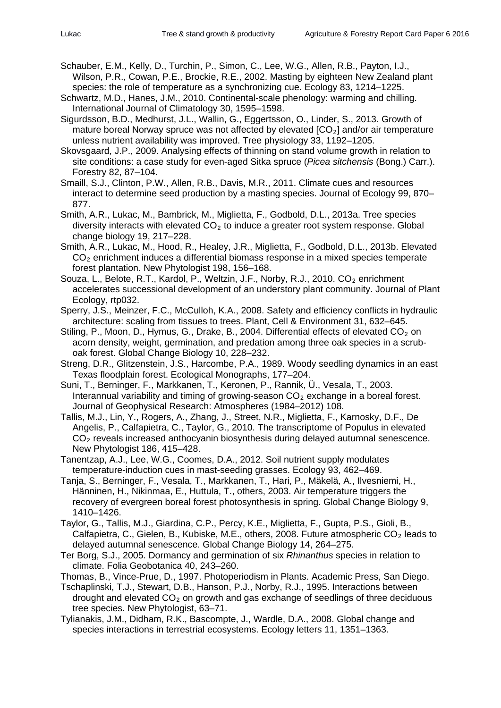Schauber, E.M., Kelly, D., Turchin, P., Simon, C., Lee, W.G., Allen, R.B., Payton, I.J., Wilson, P.R., Cowan, P.E., Brockie, R.E., 2002. Masting by eighteen New Zealand plant species: the role of temperature as a synchronizing cue. Ecology 83, 1214–1225.

- Schwartz, M.D., Hanes, J.M., 2010. Continental-scale phenology: warming and chilling. International Journal of Climatology 30, 1595–1598.
- Sigurdsson, B.D., Medhurst, J.L., Wallin, G., Eggertsson, O., Linder, S., 2013. Growth of mature boreal Norway spruce was not affected by elevated  $[CO<sub>2</sub>]$  and/or air temperature unless nutrient availability was improved. Tree physiology 33, 1192–1205.

Skovsgaard, J.P., 2009. Analysing effects of thinning on stand volume growth in relation to site conditions: a case study for even-aged Sitka spruce (*Picea sitchensis* (Bong.) Carr.). Forestry 82, 87–104.

Smaill, S.J., Clinton, P.W., Allen, R.B., Davis, M.R., 2011. Climate cues and resources interact to determine seed production by a masting species. Journal of Ecology 99, 870– 877.

Smith, A.R., Lukac, M., Bambrick, M., Miglietta, F., Godbold, D.L., 2013a. Tree species diversity interacts with elevated  $CO<sub>2</sub>$  to induce a greater root system response. Global change biology 19, 217–228.

Smith, A.R., Lukac, M., Hood, R., Healey, J.R., Miglietta, F., Godbold, D.L., 2013b. Elevated  $CO<sub>2</sub>$  enrichment induces a differential biomass response in a mixed species temperate forest plantation. New Phytologist 198, 156–168.

Souza, L., Belote, R.T., Kardol, P., Weltzin, J.F., Norby, R.J., 2010.  $CO<sub>2</sub>$  enrichment accelerates successional development of an understory plant community. Journal of Plant Ecology, rtp032.

Sperry, J.S., Meinzer, F.C., McCulloh, K.A., 2008. Safety and efficiency conflicts in hydraulic architecture: scaling from tissues to trees. Plant, Cell & Environment 31, 632–645.

Stiling, P., Moon, D., Hymus, G., Drake, B., 2004. Differential effects of elevated  $CO<sub>2</sub>$  on acorn density, weight, germination, and predation among three oak species in a scruboak forest. Global Change Biology 10, 228–232.

Streng, D.R., Glitzenstein, J.S., Harcombe, P.A., 1989. Woody seedling dynamics in an east Texas floodplain forest. Ecological Monographs, 177–204.

Suni, T., Berninger, F., Markkanen, T., Keronen, P., Rannik, Ü., Vesala, T., 2003. Interannual variability and timing of growing-season  $CO<sub>2</sub>$  exchange in a boreal forest. Journal of Geophysical Research: Atmospheres (1984–2012) 108.

Tallis, M.J., Lin, Y., Rogers, A., Zhang, J., Street, N.R., Miglietta, F., Karnosky, D.F., De Angelis, P., Calfapietra, C., Taylor, G., 2010. The transcriptome of Populus in elevated  $CO<sub>2</sub>$  reveals increased anthocyanin biosynthesis during delayed autumnal senescence. New Phytologist 186, 415–428.

Tanentzap, A.J., Lee, W.G., Coomes, D.A., 2012. Soil nutrient supply modulates temperature-induction cues in mast-seeding grasses. Ecology 93, 462–469.

Tanja, S., Berninger, F., Vesala, T., Markkanen, T., Hari, P., Mäkelä, A., Ilvesniemi, H., Hänninen, H., Nikinmaa, E., Huttula, T., others, 2003. Air temperature triggers the recovery of evergreen boreal forest photosynthesis in spring. Global Change Biology 9, 1410–1426.

Taylor, G., Tallis, M.J., Giardina, C.P., Percy, K.E., Miglietta, F., Gupta, P.S., Gioli, B., Calfapietra, C., Gielen, B., Kubiske, M.E., others, 2008. Future atmospheric  $CO<sub>2</sub>$  leads to delayed autumnal senescence. Global Change Biology 14, 264–275.

Ter Borg, S.J., 2005. Dormancy and germination of six *Rhinanthus* species in relation to climate. Folia Geobotanica 40, 243–260.

Thomas, B., Vince-Prue, D., 1997. Photoperiodism in Plants. Academic Press, San Diego.

Tschaplinski, T.J., Stewart, D.B., Hanson, P.J., Norby, R.J., 1995. Interactions between drought and elevated  $CO<sub>2</sub>$  on growth and gas exchange of seedlings of three deciduous tree species. New Phytologist, 63–71.

Tylianakis, J.M., Didham, R.K., Bascompte, J., Wardle, D.A., 2008. Global change and species interactions in terrestrial ecosystems. Ecology letters 11, 1351–1363.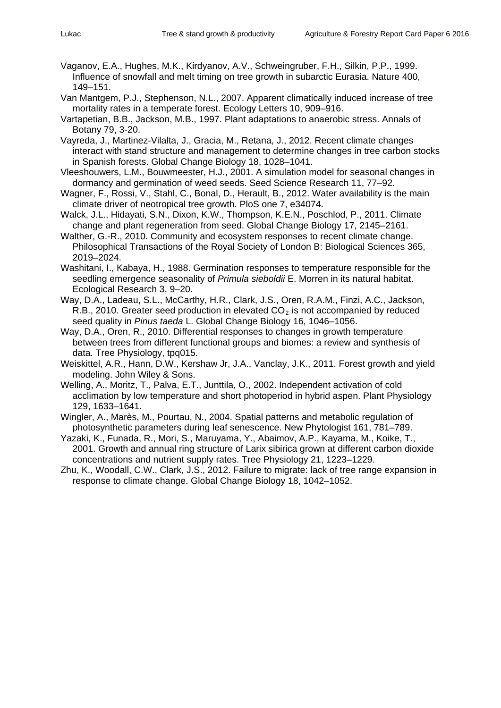- Vaganov, E.A., Hughes, M.K., Kirdyanov, A.V., Schweingruber, F.H., Silkin, P.P., 1999. Influence of snowfall and melt timing on tree growth in subarctic Eurasia. Nature 400, 149–151.
- Van Mantgem, P.J., Stephenson, N.L., 2007. Apparent climatically induced increase of tree mortality rates in a temperate forest. Ecology Letters 10, 909–916.
- Vartapetian, B.B., Jackson, M.B., 1997. Plant adaptations to anaerobic stress. Annals of Botany 79, 3-20.
- Vayreda, J., Martinez-Vilalta, J., Gracia, M., Retana, J., 2012. Recent climate changes interact with stand structure and management to determine changes in tree carbon stocks in Spanish forests. Global Change Biology 18, 1028–1041.
- Vleeshouwers, L.M., Bouwmeester, H.J., 2001. A simulation model for seasonal changes in dormancy and germination of weed seeds. Seed Science Research 11, 77–92.
- Wagner, F., Rossi, V., Stahl, C., Bonal, D., Herault, B., 2012. Water availability is the main climate driver of neotropical tree growth. PloS one 7, e34074.
- Walck, J.L., Hidayati, S.N., Dixon, K.W., Thompson, K.E.N., Poschlod, P., 2011. Climate change and plant regeneration from seed. Global Change Biology 17, 2145–2161.
- Walther, G.-R., 2010. Community and ecosystem responses to recent climate change. Philosophical Transactions of the Royal Society of London B: Biological Sciences 365, 2019–2024.
- Washitani, I., Kabaya, H., 1988. Germination responses to temperature responsible for the seedling emergence seasonality of *Primula sieboldii* E. Morren in its natural habitat. Ecological Research 3, 9–20.
- Way, D.A., Ladeau, S.L., McCarthy, H.R., Clark, J.S., Oren, R.A.M., Finzi, A.C., Jackson, R.B., 2010. Greater seed production in elevated  $CO<sub>2</sub>$  is not accompanied by reduced seed quality in *Pinus taeda* L. Global Change Biology 16, 1046–1056.
- Way, D.A., Oren, R., 2010. Differential responses to changes in growth temperature between trees from different functional groups and biomes: a review and synthesis of data. Tree Physiology, tpq015.
- Weiskittel, A.R., Hann, D.W., Kershaw Jr, J.A., Vanclay, J.K., 2011. Forest growth and yield modeling. John Wiley & Sons.
- Welling, A., Moritz, T., Palva, E.T., Junttila, O., 2002. Independent activation of cold acclimation by low temperature and short photoperiod in hybrid aspen. Plant Physiology 129, 1633–1641.
- Wingler, A., Marès, M., Pourtau, N., 2004. Spatial patterns and metabolic regulation of photosynthetic parameters during leaf senescence. New Phytologist 161, 781–789.
- Yazaki, K., Funada, R., Mori, S., Maruyama, Y., Abaimov, A.P., Kayama, M., Koike, T., 2001. Growth and annual ring structure of Larix sibirica grown at different carbon dioxide concentrations and nutrient supply rates. Tree Physiology 21, 1223–1229.
- Zhu, K., Woodall, C.W., Clark, J.S., 2012. Failure to migrate: lack of tree range expansion in response to climate change. Global Change Biology 18, 1042–1052.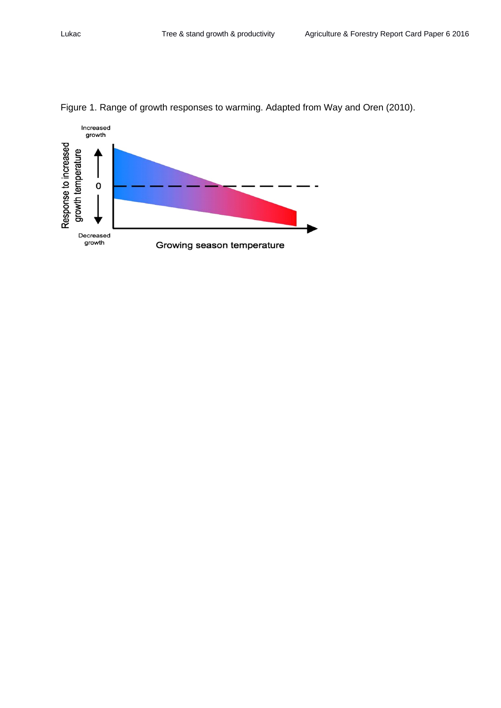

Figure 1. Range of growth responses to warming. Adapted from Way and Oren (2010).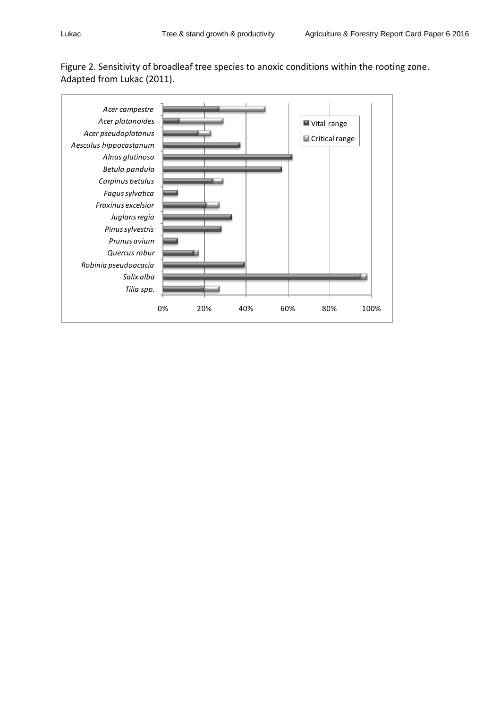

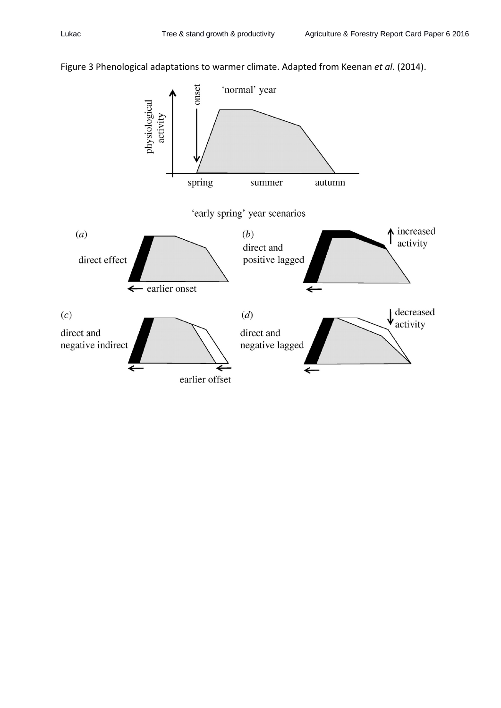## Figure 3 Phenological adaptations to warmer climate. Adapted from Keenan *et al*. (2014).